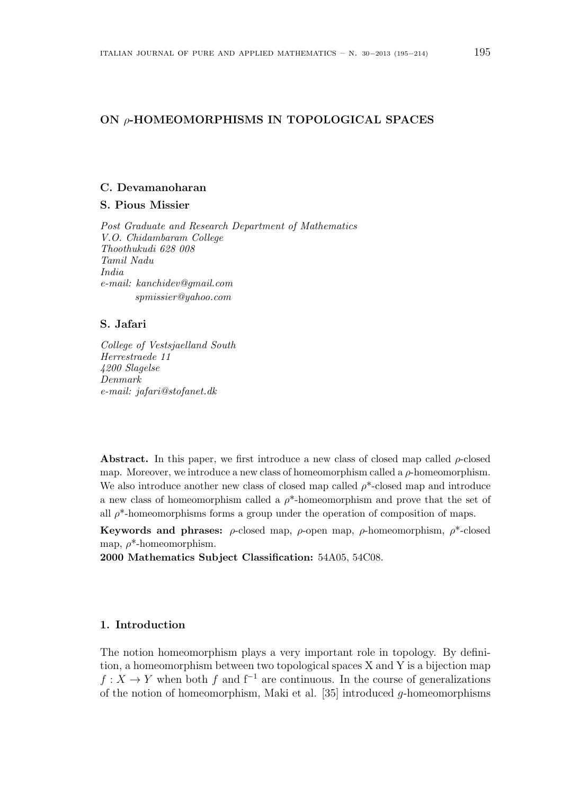# **ON** *ρ***-HOMEOMORPHISMS IN TOPOLOGICAL SPACES**

# **C. Devamanoharan**

# **S. Pious Missier**

*Post Graduate and Research Department of Mathematics V.O. Chidambaram College Thoothukudi 628 008 Tamil Nadu India e-mail: kanchidev@gmail.com spmissier@yahoo.com*

# **S. Jafari**

*College of Vestsjaelland South Herrestraede 11 4200 Slagelse Denmark e-mail: jafari@stofanet.dk*

**Abstract.** In this paper, we first introduce a new class of closed map called  $\rho$ -closed map. Moreover, we introduce a new class of homeomorphism called a *ρ*-homeomorphism. We also introduce another new class of closed map called *ρ*\*-closed map and introduce a new class of homeomorphism called a *ρ*\*-homeomorphism and prove that the set of all  $\rho^*$ -homeomorphisms forms a group under the operation of composition of maps.

**Keywords and phrases:** *ρ*-closed map, *ρ*-open map, *ρ*-homeomorphism, *ρ*\*-closed map, *ρ*\*-homeomorphism.

**2000 Mathematics Subject Classification:** 54A05, 54C08.

# **1. Introduction**

The notion homeomorphism plays a very important role in topology. By definition, a homeomorphism between two topological spaces X and Y is a bijection map *f* : *X* → *Y* when both *f* and  $f^{-1}$  are continuous. In the course of generalizations of the notion of homeomorphism, Maki et al. [35] introduced *g*-homeomorphisms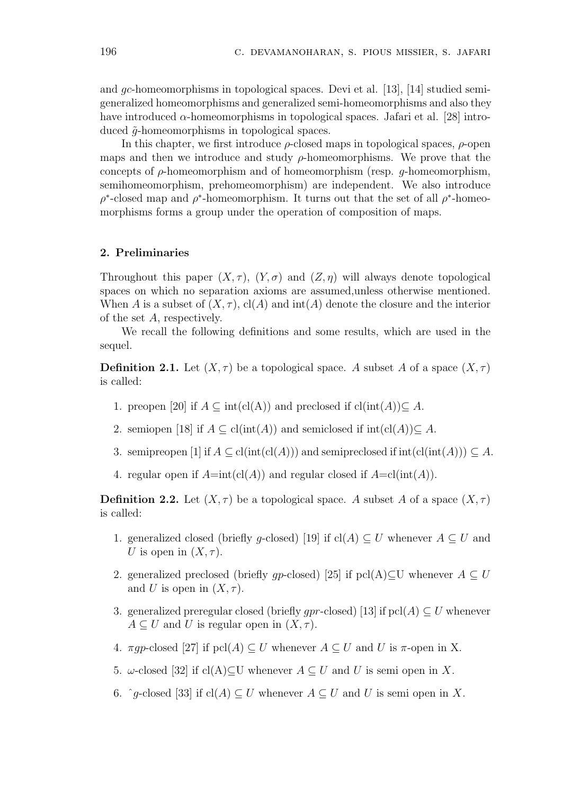and *gc*-homeomorphisms in topological spaces. Devi et al. [13], [14] studied semigeneralized homeomorphisms and generalized semi-homeomorphisms and also they have introduced  $\alpha$ -homeomorphisms in topological spaces. Jafari et al. [28] introduced ˜*g*-homeomorphisms in topological spaces.

In this chapter, we first introduce *ρ*-closed maps in topological spaces, *ρ*-open maps and then we introduce and study  $\rho$ -homeomorphisms. We prove that the concepts of *ρ*-homeomorphism and of homeomorphism (resp. *g*-homeomorphism, semihomeomorphism, prehomeomorphism) are independent. We also introduce  $\rho^*$ -closed map and  $\rho^*$ -homeomorphism. It turns out that the set of all  $\rho^*$ -homeomorphisms forms a group under the operation of composition of maps.

# **2. Preliminaries**

Throughout this paper  $(X, \tau)$ ,  $(Y, \sigma)$  and  $(Z, \eta)$  will always denote topological spaces on which no separation axioms are assumed,unless otherwise mentioned. When *A* is a subset of  $(X, \tau)$ ,  $cl(A)$  and  $int(A)$  denote the closure and the interior of the set *A*, respectively.

We recall the following definitions and some results, which are used in the sequel.

**Definition 2.1.** Let  $(X, \tau)$  be a topological space. *A* subset *A* of a space  $(X, \tau)$ is called:

- 1. preopen [20] if  $A \subseteq \text{int}(\text{cl}(A))$  and preclosed if  $\text{cl}(\text{int}(A)) \subseteq A$ .
- 2. semiopen [18] if  $A \subseteq \text{cl(int}(A))$  and semiclosed if  $\text{int}(\text{cl}(A)) \subseteq A$ .
- 3. semipreopen  $[1]$  if  $A \subseteq \text{cl(int}(\text{cl}(A)))$  and semipreclosed if  $\text{int}(\text{cl(int}(A))) \subseteq A$ .
- 4. regular open if  $A=int(cl(A))$  and regular closed if  $A=cl(int(A))$ .

**Definition 2.2.** Let  $(X, \tau)$  be a topological space. *A* subset *A* of a space  $(X, \tau)$ is called:

- 1. generalized closed (briefly *g*-closed) [19] if cl(*A*)  $\subseteq U$  whenever  $A \subseteq U$  and *U* is open in  $(X, \tau)$ .
- 2. generalized preclosed (briefly *qp*-closed) [25] if pcl(A) $\subset U$  whenever  $A \subset U$ and *U* is open in  $(X, \tau)$ .
- 3. generalized preregular closed (briefly *gpr*-closed) [13] if  $\text{pel}(A) \subseteq U$  whenever  $A \subseteq U$  and *U* is regular open in  $(X, \tau)$ .
- 4. *πgp*-closed [27] if  $\text{pcl}(A) \subseteq U$  whenever  $A \subseteq U$  and U is *π*-open in X.
- 5. *w*-closed [32] if cl(A)⊂U whenever  $A \subseteq U$  and  $U$  is semi open in  $X$ .
- 6.  $\hat{g}$ -closed [33] if cl(*A*) ⊆ *U* whenever  $A ⊆ U$  and *U* is semi open in *X*.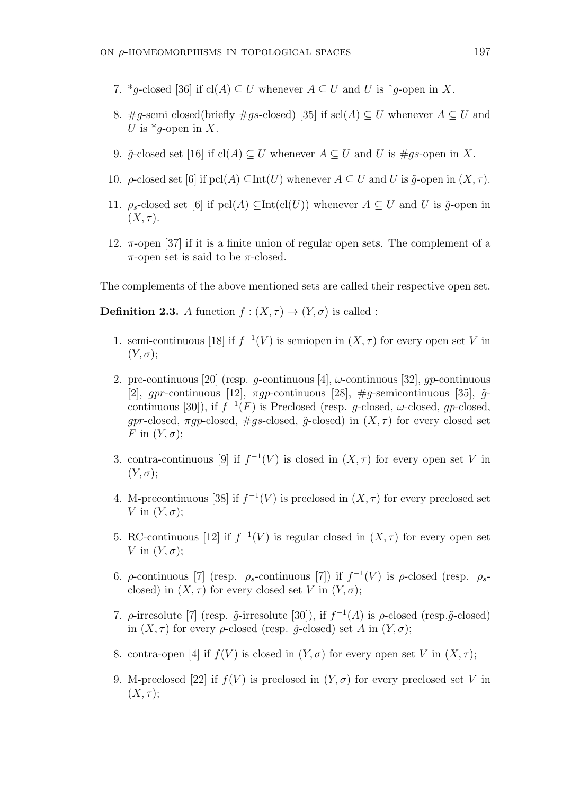- 7. \**q*-closed [36] if cl(*A*)  $\subset U$  whenever  $A \subset U$  and U is  $\hat{q}$ -open in X.
- 8. #g-semi closed(briefly #gs-closed) [35] if scl(A)  $\subseteq U$  whenever  $A \subseteq U$  and *U* is  $*q$ -open in *X*.
- 9.  $\tilde{q}$ -closed set [16] if cl(*A*)  $\subseteq U$  whenever  $A \subseteq U$  and  $U$  is  $\#qs$ -open in *X*.
- 10. *ρ*-closed set [6] if pcl(*A*)  $\subset$ Int(*U*) whenever  $A \subset U$  and *U* is  $\tilde{q}$ -open in  $(X, \tau)$ .
- 11.  $\rho_s$ -closed set [6] if pcl(*A*)  $\subset$ Int(cl(*U*)) whenever  $A \subset U$  and *U* is  $\tilde{q}$ -open in  $(X,\tau).$
- 12. *π*-open [37] if it is a finite union of regular open sets. The complement of a *π*-open set is said to be *π*-closed.

The complements of the above mentioned sets are called their respective open set.

**Definition 2.3.** *A* function  $f : (X, \tau) \to (Y, \sigma)$  is called :

- 1. semi-continuous [18] if  $f^{-1}(V)$  is semiopen in  $(X, \tau)$  for every open set V in  $(Y, \sigma);$
- 2. pre-continuous [20] (resp. *g*-continuous [4], *ω*-continuous [32], *gp*-continuous [2], *apr*-continuous [12],  $\pi q p$ -continuous [28],  $\# q$ -semicontinuous [35],  $\tilde{q}$ continuous [30]), if  $f^{-1}(F)$  is Preclosed (resp. *g*-closed,  $\omega$ -closed, *gp*-closed, *gpr*-closed,  $\pi g p$ -closed,  $\#gs$ -closed,  $\tilde{g}$ -closed) in  $(X, \tau)$  for every closed set *F* in  $(Y, \sigma)$ ;
- 3. contra-continuous [9] if  $f^{-1}(V)$  is closed in  $(X, \tau)$  for every open set V in  $(Y, \sigma)$ ;
- 4. M-precontinuous [38] if  $f^{-1}(V)$  is preclosed in  $(X, \tau)$  for every preclosed set *V* in  $(Y, \sigma)$ ;
- 5. RC-continuous [12] if  $f^{-1}(V)$  is regular closed in  $(X, \tau)$  for every open set *V* in  $(Y, \sigma)$ ;
- 6. *ρ*-continuous [7] (resp. *ρ<sub>s</sub>*-continuous [7]) if  $f^{-1}(V)$  is *ρ*-closed (resp. *ρ<sub>s</sub>*closed) in  $(X, \tau)$  for every closed set *V* in  $(Y, \sigma)$ ;
- 7.  $\rho$ -irresolute [7] (resp.  $\tilde{g}$ -irresolute [30]), if  $f^{-1}(A)$  is  $\rho$ -closed (resp. $\tilde{g}$ -closed) in  $(X, \tau)$  for every *ρ*-closed (resp.  $\tilde{q}$ -closed) set *A* in  $(Y, \sigma)$ ;
- 8. contra-open [4] if  $f(V)$  is closed in  $(Y, \sigma)$  for every open set V in  $(X, \tau)$ ;
- 9. M-preclosed  $[22]$  if  $f(V)$  is preclosed in  $(Y, \sigma)$  for every preclosed set V in  $(X,\tau);$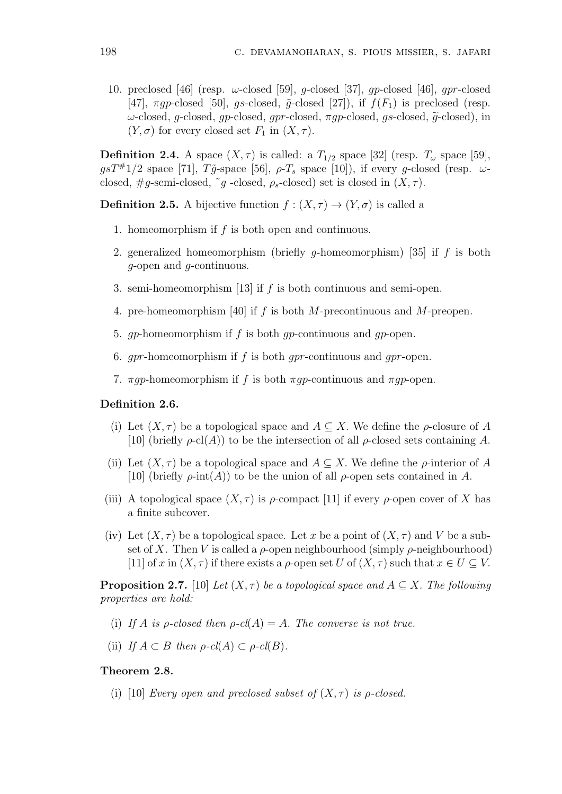10. preclosed [46] (resp. *ω*-closed [59], *g*-closed [37], *gp*-closed [46], *gpr*-closed [47],  $\pi q p$ -closed [50],  $q s$ -closed,  $\tilde{q}$ -closed [27]), if  $f(F_1)$  is preclosed (resp. *<sup>ω</sup>*-closed, *<sup>g</sup>*-closed, *gp*-closed, *gpr*-closed, *πgp*-closed, *gs*-closed, *<sup>g</sup>*e-closed), in  $(Y, \sigma)$  for every closed set  $F_1$  in  $(X, \tau)$ .

**Definition 2.4.** A space  $(X, \tau)$  is called: a  $T_{1/2}$  space [32] (resp.  $T_{\omega}$  space [59],  $g s T^{\#}1/2$  space [71],  $T\tilde{g}$ -space [56],  $\rho$ - $T_s$  space [10]), if every *g*-closed (resp.  $\omega$ closed,  $#g$ -semi-closed,  $\tilde{g}$ -closed,  $\rho_s$ -closed) set is closed in  $(X, \tau)$ .

**Definition 2.5.** A bijective function  $f : (X, \tau) \to (Y, \sigma)$  is called a

- 1. homeomorphism if *f* is both open and continuous.
- 2. generalized homeomorphism (briefly *g*-homeomorphism) [35] if *f* is both *g*-open and *g*-continuous.
- 3. semi-homeomorphism [13] if *f* is both continuous and semi-open.
- 4. pre-homeomorphism [40] if *f* is both *M*-precontinuous and *M*-preopen.
- 5. *gp*-homeomorphism if *f* is both *gp*-continuous and *gp*-open.
- 6. *gpr*-homeomorphism if *f* is both *gpr*-continuous and *gpr*-open.
- 7. *πgp*-homeomorphism if *f* is both *πgp*-continuous and *πgp*-open.

# **Definition 2.6.**

- (i) Let  $(X, \tau)$  be a topological space and  $A \subseteq X$ . We define the *ρ*-closure of *A* [10] (briefly  $\rho$ -cl(*A*)) to be the intersection of all  $\rho$ -closed sets containing *A*.
- (ii) Let  $(X, \tau)$  be a topological space and  $A \subseteq X$ . We define the *ρ*-interior of *A* [10] (briefly  $\rho$ -int(*A*)) to be the union of all  $\rho$ -open sets contained in *A*.
- (iii) A topological space  $(X, \tau)$  is  $\rho$ -compact [11] if every  $\rho$ -open cover of X has a finite subcover.
- (iv) Let  $(X, \tau)$  be a topological space. Let x be a point of  $(X, \tau)$  and V be a subset of X. Then V is called a  $\rho$ -open neighbourhood (simply  $\rho$ -neighbourhood) [11] of *x* in  $(X, \tau)$  if there exists a *ρ*-open set *U* of  $(X, \tau)$  such that  $x \in U \subseteq V$ .

**Proposition 2.7.** [10] *Let*  $(X, \tau)$  *be a topological space and*  $A \subseteq X$ *. The following properties are hold:*

- (i) If *A* is *ρ*-closed then  $\rho$ -cl(*A*) = *A.* The converse is not true.
- (ii) *If*  $A \subset B$  *then*  $\rho$ *-cl*( $A$ )  $\subset \rho$ *-cl*( $B$ )*.*

## **Theorem 2.8.**

(i) [10] *Every open and preclosed subset of*  $(X, \tau)$  *is p-closed.*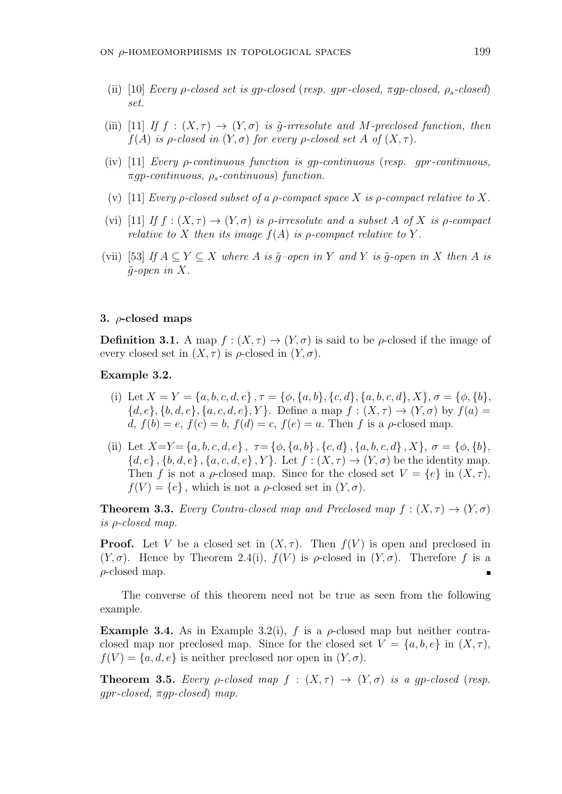- (ii) [10] *Every ρ-closed set is gp-closed* (*resp. gpr-closed, πgp-closed, ρs-closed*) *set.*
- (iii) [11] *If*  $f : (X, \tau) \to (Y, \sigma)$  *is*  $\tilde{q}$ -irresolute and M-preclosed function, then  $f(A)$  *is ρ*-*closed in*  $(Y, \sigma)$  *for every ρ*-*closed set A of*  $(X, \tau)$ *.*
- (iv) [11] *Every ρ-continuous function is gp-continuous* (*resp. gpr-continuous, πgp-continuous, ρs-continuous*) *function.*
- (v) [11] *Every*  $\rho$ -closed subset of a  $\rho$ -compact space  $X$  is  $\rho$ -compact relative to  $X$ .
- (vi) [11] *If*  $f : (X, \tau) \to (Y, \sigma)$  *is p-irresolute and a subset A of* X *is p-compact relative to*  $X$  *then its image*  $f(A)$  *is*  $\rho$ *-compact relative to*  $Y$ *.*
- (vii) [53] If  $A \subseteq Y \subseteq X$  where A is  $\tilde{q}$ -open in Y and Y is  $\tilde{q}$ -open in X then A is  $\tilde{q}$ -open in X.

# **3.** *ρ***-closed maps**

**Definition 3.1.** A map  $f : (X, \tau) \to (Y, \sigma)$  is said to be *ρ*-closed if the image of every closed set in  $(X, \tau)$  is  $\rho$ -closed in  $(Y, \sigma)$ .

## **Example 3.2.**

- (i) Let  $X = Y = \{a, b, c, d, e\}$ ,  $\tau = \{\phi, \{a, b\}, \{c, d\}, \{a, b, c, d\}, X\}$ ,  $\sigma = \{\phi, \{b\}, \phi, \{c, d\}, X\}$  ${d, e}$ ,  ${b, d, e}$ ,  ${a, c, d, e}$ ,  ${Y}$ . Define a map  $f : (X, \tau) \to (Y, \sigma)$  by  $f(a) =$  $d, f(b) = e, f(c) = b, f(d) = c, f(e) = a$ . Then *f* is a *ρ*-closed map.
- (ii) Let  $X=Y=\{a,b,c,d,e\}$ ,  $\tau=\{\phi,\{a,b\},\{c,d\},\{a,b,c,d\},X\}$ ,  $\sigma=\{\phi,\{b\},\{b\},\{c,d\},\{d\},\{d\},\{e,d\},X\}$  ${d, e}$ ,  ${b, d, e}$ ,  ${a, c, d, e}$ ,  ${Y}$ . Let  $f : (X, \tau) \to (Y, \sigma)$  be the identity map. Then *f* is not a *ρ*-closed map. Since for the closed set  $V = \{e\}$  in  $(X, \tau)$ ,  $f(V) = \{e\}$ , which is not a *ρ*-closed set in  $(Y, \sigma)$ .

**Theorem 3.3.** *Every Contra-closed map and Preclosed map*  $f : (X, \tau) \rightarrow (Y, \sigma)$ *is ρ-closed map.*

**Proof.** Let *V* be a closed set in  $(X, \tau)$ . Then  $f(V)$  is open and preclosed in  $(Y, \sigma)$ . Hence by Theorem 2.4(i),  $f(V)$  is  $\rho$ -closed in  $(Y, \sigma)$ . Therefore f is a *ρ*-closed map. п

The converse of this theorem need not be true as seen from the following example.

**Example 3.4.** As in Example 3.2(i),  $f$  is a  $\rho$ -closed map but neither contraclosed map nor preclosed map. Since for the closed set  $V = \{a, b, e\}$  in  $(X, \tau)$ ,  $f(V) = \{a, d, e\}$  is neither preclosed nor open in  $(Y, \sigma)$ .

**Theorem 3.5.** *Every ρ*-*closed* map  $f : (X, \tau) \rightarrow (Y, \sigma)$  *is a qp-closed* (*resp. gpr-closed, πgp-closed*) *map.*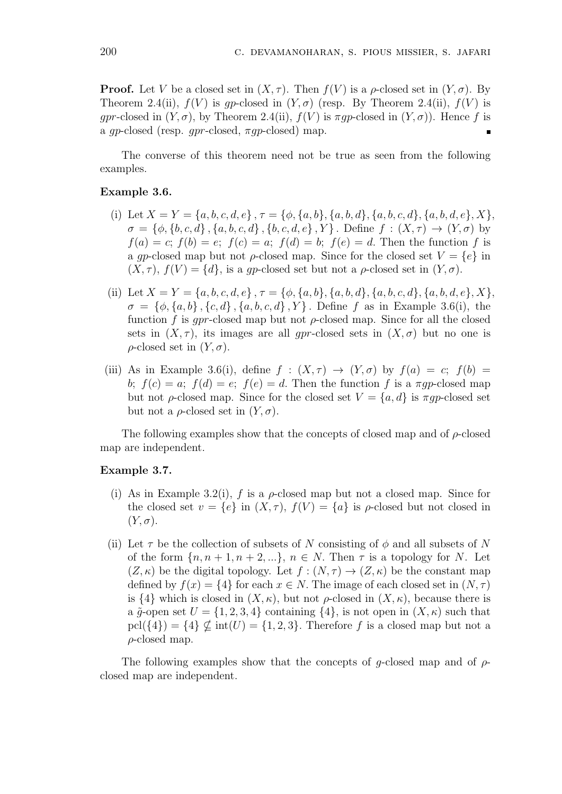**Proof.** Let *V* be a closed set in  $(X, \tau)$ . Then  $f(V)$  is a  $\rho$ -closed set in  $(Y, \sigma)$ . By Theorem 2.4(ii),  $f(V)$  is qp-closed in  $(Y, \sigma)$  (resp. By Theorem 2.4(ii),  $f(V)$  is *gpr*-closed in  $(Y, \sigma)$ , by Theorem 2.4(ii),  $f(V)$  is  $\pi gp$ -closed in  $(Y, \sigma)$ ). Hence f is a *gp*-closed (resp. *gpr*-closed, *πgp*-closed) map.

The converse of this theorem need not be true as seen from the following examples.

#### **Example 3.6.**

- (i) Let  $X = Y = \{a, b, c, d, e\}$ ,  $\tau = \{\phi, \{a, b\}, \{a, b, d\}, \{a, b, c, d\}, \{a, b, d, e\}, X\}$ ,  $\sigma = \{\phi, \{b, c, d\}, \{a, b, c, d\}, \{b, c, d, e\}, Y\}$ . Define  $f : (X, \tau) \to (Y, \sigma)$  by  $f(a) = c$ ;  $f(b) = e$ ;  $f(c) = a$ ;  $f(d) = b$ ;  $f(e) = d$ . Then the function *f* is a *gp*-closed map but not *ρ*-closed map. Since for the closed set  $V = \{e\}$  in  $(X, \tau)$ ,  $f(V) = \{d\}$ , is a *gp*-closed set but not a *ρ*-closed set in  $(Y, \sigma)$ .
- (ii) Let  $X = Y = \{a, b, c, d, e\}$ ,  $\tau = \{\phi, \{a, b\}, \{a, b, d\}, \{a, b, c, d\}, \{a, b, d, e\}, X\}$  $\sigma = {\phi, \{a, b\}, \{c, d\}, \{a, b, c, d\}, Y}$ . Define *f* as in Example 3.6(i), the function *f* is *gpr*-closed map but not *ρ*-closed map. Since for all the closed sets in  $(X, \tau)$ , its images are all *gpr*-closed sets in  $(X, \sigma)$  but no one is *ρ*-closed set in  $(Y, \sigma)$ .
- (iii) As in Example 3.6(i), define  $f : (X, \tau) \rightarrow (Y, \sigma)$  by  $f(a) = c$ ;  $f(b) =$ *b*;  $f(c) = a$ ;  $f(d) = e$ ;  $f(e) = d$ . Then the function *f* is a *πgp*-closed map but not *ρ*-closed map. Since for the closed set *V* = *{a, d}* is *πgp*-closed set but not a  $\rho$ -closed set in  $(Y, \sigma)$ .

The following examples show that the concepts of closed map and of *ρ*-closed map are independent.

#### **Example 3.7.**

- (i) As in Example 3.2(i),  $f$  is a  $\rho$ -closed map but not a closed map. Since for the closed set  $v = \{e\}$  in  $(X, \tau)$ ,  $f(V) = \{a\}$  is  $\rho$ -closed but not closed in  $(Y, \sigma)$ .
- (ii) Let  $\tau$  be the collection of subsets of *N* consisting of  $\phi$  and all subsets of *N* of the form  $\{n, n+1, n+2, \ldots\}$ ,  $n \in N$ . Then  $\tau$  is a topology for *N*. Let  $(Z, \kappa)$  be the digital topology. Let  $f : (N, \tau) \to (Z, \kappa)$  be the constant map defined by  $f(x) = \{4\}$  for each  $x \in N$ . The image of each closed set in  $(N, \tau)$ is  $\{4\}$  which is closed in  $(X, \kappa)$ , but not  $\rho$ -closed in  $(X, \kappa)$ , because there is a  $\tilde{q}$ -open set  $U = \{1, 2, 3, 4\}$  containing  $\{4\}$ , is not open in  $(X, \kappa)$  such that  $\text{pcl}(\{4\}) = \{4\} \not\subset \text{int}(U) = \{1, 2, 3\}$ . Therefore f is a closed map but not a *ρ*-closed map.

The following examples show that the concepts of *g*-closed map and of *ρ*closed map are independent.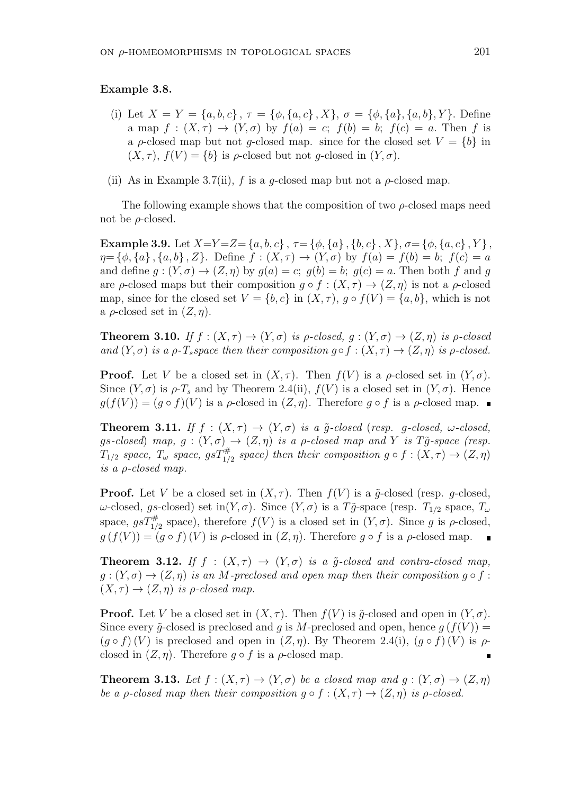#### **Example 3.8.**

- (i) Let  $X = Y = \{a, b, c\}$ ,  $\tau = \{\phi, \{a, c\} \, , X\}$ ,  $\sigma = \{\phi, \{a\}, \{a, b\} \, , Y\}$ . Define a map  $f : (X, \tau) \to (Y, \sigma)$  by  $f(a) = c$ ;  $f(b) = b$ ;  $f(c) = a$ . Then f is a *ρ*-closed map but not *q*-closed map. since for the closed set  $V = \{b\}$  in  $(X, \tau)$ ,  $f(V) = \{b\}$  is  $\rho$ -closed but not *g*-closed in  $(Y, \sigma)$ .
- (ii) As in Example 3.7(ii),  $f$  is a *g*-closed map but not a  $\rho$ -closed map.

The following example shows that the composition of two *ρ*-closed maps need not be *ρ*-closed.

**Example 3.9.** Let  $X=Y=Z=\{a,b,c\}$ ,  $\tau=\{\phi,\{a\},\{b,c\},X\}$ ,  $\sigma=\{\phi,\{a,c\},Y\}$ ,  $\eta = {\phi, \{a\}, \{a, b\}, Z}$ . Define  $f : (X, \tau) \to (Y, \sigma)$  by  $f(a) = f(b) = b$ ;  $f(c) = a$ and define  $g: (Y, \sigma) \to (Z, \eta)$  by  $g(a) = c$ ;  $g(b) = b$ ;  $g(c) = a$ . Then both f and g are *ρ*-closed maps but their composition  $q \circ f : (X, \tau) \to (Z, \eta)$  is not a *ρ*-closed map, since for the closed set  $V = \{b, c\}$  in  $(X, \tau)$ ,  $g \circ f(V) = \{a, b\}$ , which is not a  $\rho$ -closed set in  $(Z, \eta)$ .

**Theorem 3.10.** *If*  $f : (X, \tau) \to (Y, \sigma)$  *is*  $\rho$ -closed,  $q : (Y, \sigma) \to (Z, \eta)$  *is*  $\rho$ -closed *and*  $(Y, \sigma)$  *is a*  $\rho$ *-T*<sub>*s*</sub></sub>*space then their composition*  $g \circ f : (X, \tau) \to (Z, \eta)$  *is*  $\rho$ *-closed.* 

**Proof.** Let *V* be a closed set in  $(X, \tau)$ . Then  $f(V)$  is a  $\rho$ -closed set in  $(Y, \sigma)$ . Since  $(Y, \sigma)$  is  $\rho$ -*T<sub>s</sub>* and by Theorem 2.4(ii),  $f(V)$  is a closed set in  $(Y, \sigma)$ . Hence  $g(f(V)) = (g \circ f)(V)$  is a *ρ*-closed in  $(Z, \eta)$ . Therefore  $g \circ f$  is a *ρ*-closed map.

**Theorem 3.11.** *If*  $f : (X, \tau) \to (Y, \sigma)$  *is a*  $\tilde{g}$ -closed (*resp.* g-closed,  $\omega$ -closed,  $gs-closed)$  *map,*  $g: (Y, \sigma) \rightarrow (Z, \eta)$  *is a*  $\rho$ *-closed map and Y is*  $T\tilde{g}$ -space (resp.  $T_{1/2}$  *space,*  $T_{\omega}$  *space,*  $gsT_{1/2}^{\#}$  *space)* then their composition  $g \circ f : (X, \tau) \to (Z, \eta)$ *is a ρ-closed map.*

**Proof.** Let *V* be a closed set in  $(X, \tau)$ . Then  $f(V)$  is a  $\tilde{g}$ -closed (resp. g-closed, *ω*-closed, *gs*-closed) set in(*Y*, *σ*). Since (*Y*, *σ*) is a *T* $\tilde{g}$ -space (resp. *T*<sub>1/2</sub> space, *T*<sup>*ω*</sup> space,  $gsT_{1/2}^{\#}$  space), therefore  $f(V)$  is a closed set in  $(Y, \sigma)$ . Since g is  $\rho$ -closed,  $g(f(V)) = (g \circ f)(V)$  is  $\rho$ -closed in  $(Z, \eta)$ . Therefore  $g \circ f$  is a  $\rho$ -closed map.

**Theorem 3.12.** *If*  $f : (X, \tau) \to (Y, \sigma)$  *is a*  $\tilde{g}$ -closed and contra-closed map,  $g:(Y, \sigma) \rightarrow (Z, \eta)$  *is an M*-preclosed and open map then their composition  $g \circ f$ :  $(X, \tau) \rightarrow (Z, \eta)$  *is*  $\rho$ *-closed map.* 

**Proof.** Let *V* be a closed set in  $(X, \tau)$ . Then  $f(V)$  is  $\tilde{q}$ -closed and open in  $(Y, \sigma)$ . Since every  $\tilde{q}$ -closed is preclosed and *q* is *M*-preclosed and open, hence  $q(f(V))$  =  $(g \circ f)(V)$  is preclosed and open in  $(Z, \eta)$ . By Theorem 2.4(i),  $(g \circ f)(V)$  is  $\rho$ closed in  $(Z, \eta)$ . Therefore  $q \circ f$  is a  $\rho$ -closed map.

**Theorem 3.13.** Let  $f : (X, \tau) \to (Y, \sigma)$  be a closed map and  $g : (Y, \sigma) \to (Z, \eta)$ *be a p-closed map then their composition*  $q \circ f : (X, \tau) \to (Z, \eta)$  *is p-closed.*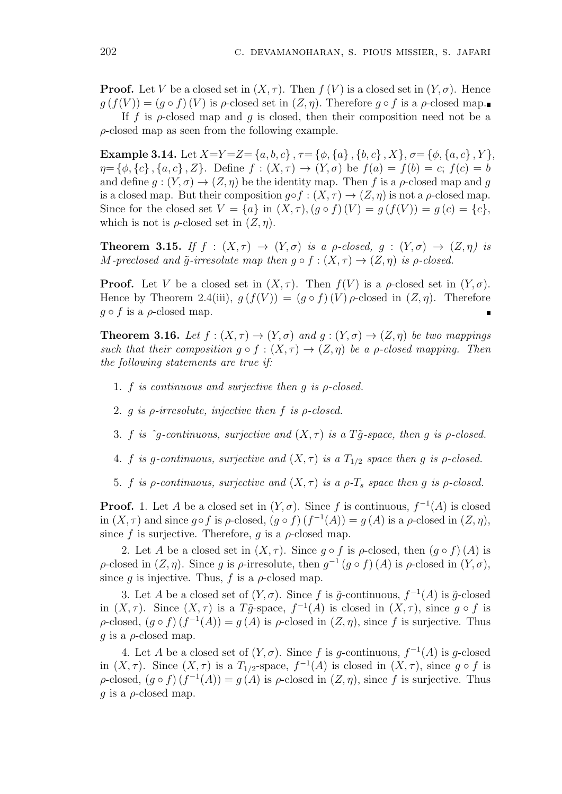**Proof.** Let *V* be a closed set in  $(X, \tau)$ . Then  $f(V)$  is a closed set in  $(Y, \sigma)$ . Hence  $g(f(V)) = (g \circ f)(V)$  is  $\rho$ -closed set in  $(Z, \eta)$ . Therefore  $g \circ f$  is a  $\rho$ -closed map.

If  $f$  is  $\rho$ -closed map and  $g$  is closed, then their composition need not be a *ρ*-closed map as seen from the following example.

**Example 3.14.** Let  $X=Y=Z=\{a,b,c\}$ ,  $\tau=\{\phi,\{a\},\{b,c\},X\}$ ,  $\sigma=\{\phi,\{a,c\},Y\}$ ,  $\eta = {\phi, \{c\}, \{a, c\}, Z}$ . Define  $f : (X, \tau) \to (Y, \sigma)$  be  $f(a) = f(b) = c$ ;  $f(c) = b$ and define  $q: (Y, \sigma) \to (Z, \eta)$  be the identity map. Then f is a  $\rho$ -closed map and q is a closed map. But their composition  $g \circ f : (X, \tau) \to (Z, \eta)$  is not a  $\rho$ -closed map. Since for the closed set  $V = \{a\}$  in  $(X, \tau)$ ,  $(g \circ f)(V) = g(f(V)) = g(c) = \{c\}$ , which is not is  $\rho$ -closed set in  $(Z, \eta)$ .

**Theorem 3.15.** If  $f : (X, \tau) \rightarrow (Y, \sigma)$  is a *p*-closed,  $q : (Y, \sigma) \rightarrow (Z, \eta)$  is *M*-preclosed and  $\tilde{g}$ -irresolute map then  $g \circ f : (X, \tau) \to (Z, \eta)$  is  $\rho$ -closed.

**Proof.** Let *V* be a closed set in  $(X, \tau)$ . Then  $f(V)$  is a  $\rho$ -closed set in  $(Y, \sigma)$ . Hence by Theorem 2.4(iii),  $g(f(V)) = (g \circ f)(V) \rho$ -closed in  $(Z, \eta)$ . Therefore  $g \circ f$  is a  $\rho$ -closed map.

**Theorem 3.16.** *Let*  $f : (X, \tau) \to (Y, \sigma)$  *and*  $g : (Y, \sigma) \to (Z, \eta)$  *be two mappings such that their composition*  $q \circ f : (X, \tau) \to (Z, \eta)$  *be a p-closed mapping. Then the following statements are true if:*

- 1. *f is continuous and surjective then g is ρ-closed.*
- 2. *g is ρ-irresolute, injective then f is ρ-closed.*
- 3. *f is*  $\tilde{g}$ -continuous, surjective and  $(X, \tau)$  *is a*  $T\tilde{g}$ -space, then *g is*  $\rho$ -closed.
- 4. *f is g*-continuous, surjective and  $(X, \tau)$  *is* a  $T_{1/2}$  *space then g is*  $\rho$ -closed.
- 5. *f is ρ*-continuous, surjective and  $(X, \tau)$  *is* a  $\rho$ - $T_s$  *space then g is*  $\rho$ -closed.

**Proof.** 1. Let *A* be a closed set in  $(Y, \sigma)$ . Since *f* is continuous,  $f^{-1}(A)$  is closed in  $(X, \tau)$  and since  $g \circ f$  is  $\rho$ -closed,  $(g \circ f)(f^{-1}(A)) = g(A)$  is a  $\rho$ -closed in  $(Z, \eta)$ , since  $f$  is surjective. Therefore,  $g$  is a  $\rho$ -closed map.

2. Let *A* be a closed set in  $(X, \tau)$ . Since  $g \circ f$  is  $\rho$ -closed, then  $(g \circ f)(A)$  is *ρ*-closed in  $(Z, \eta)$ . Since *g* is *ρ*-irresolute, then  $g^{-1}(g \circ f)(A)$  is *ρ*-closed in  $(Y, \sigma)$ , since *q* is injective. Thus, *f* is a  $\rho$ -closed map.

3. Let *A* be a closed set of  $(Y, \sigma)$ . Since *f* is  $\tilde{g}$ -continuous,  $f^{-1}(A)$  is  $\tilde{g}$ -closed in  $(X, \tau)$ . Since  $(X, \tau)$  is a  $T\tilde{g}$ -space,  $f^{-1}(A)$  is closed in  $(X, \tau)$ , since  $g \circ f$  is  $\rho$ -closed,  $(g \circ f)(f^{-1}(A)) = g(A)$  is  $\rho$ -closed in  $(Z, \eta)$ , since *f* is surjective. Thus *g* is a  $\rho$ -closed map.

4. Let *A* be a closed set of  $(Y, \sigma)$ . Since *f* is *g*-continuous,  $f^{-1}(A)$  is *g*-closed in  $(X, \tau)$ . Since  $(X, \tau)$  is a  $T_{1/2}$ -space,  $f^{-1}(A)$  is closed in  $(X, \tau)$ , since  $g \circ f$  is  $\rho$ -closed,  $(g \circ f)(f^{-1}(A)) = g(A)$  is  $\rho$ -closed in  $(Z, \eta)$ , since *f* is surjective. Thus *g* is a *ρ*-closed map.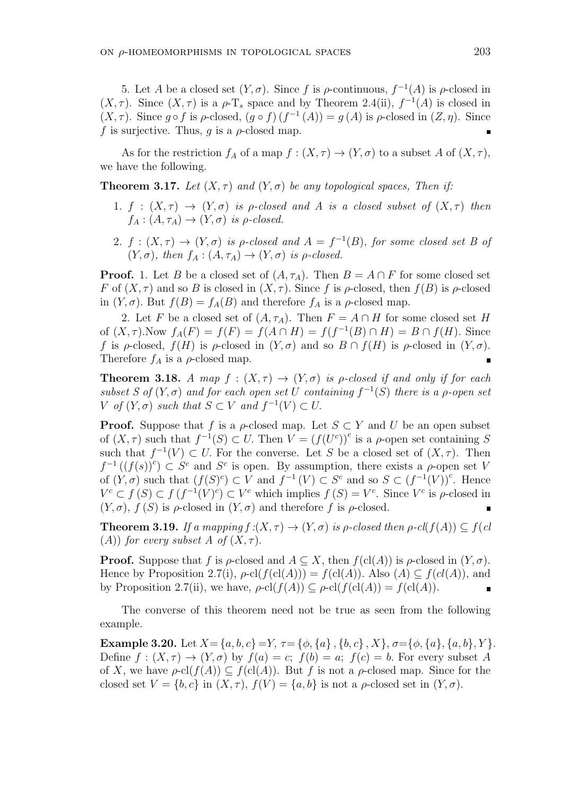5. Let *A* be a closed set  $(Y, \sigma)$ . Since *f* is *ρ*-continuous,  $f^{-1}(A)$  is *ρ*-closed in  $(X, \tau)$ . Since  $(X, \tau)$  is a  $\rho$ -T<sub>s</sub> space and by Theorem 2.4(ii),  $f^{-1}(A)$  is closed in  $(X, \tau)$ . Since  $g \circ f$  is  $\rho$ -closed,  $(g \circ f)(f^{-1}(A)) = g(A)$  is  $\rho$ -closed in  $(Z, \eta)$ . Since *f* is surjective. Thus, *g* is a  $\rho$ -closed map.

As for the restriction  $f_A$  of a map  $f : (X, \tau) \to (Y, \sigma)$  to a subset A of  $(X, \tau)$ , we have the following.

**Theorem 3.17.** *Let*  $(X, \tau)$  *and*  $(Y, \sigma)$  *be any topological spaces, Then if:* 

- 1.  $f : (X, \tau) \to (Y, \sigma)$  *is p-closed and A is a closed subset of*  $(X, \tau)$  *then*  $f_A: (A, \tau_A) \to (Y, \sigma)$  *is*  $\rho$ *-closed.*
- 2.  $f : (X, \tau) \to (Y, \sigma)$  *is p-closed and*  $A = f^{-1}(B)$ *, for some closed set B of*  $(Y, \sigma)$ *, then*  $f_A : (A, \tau_A) \rightarrow (Y, \sigma)$  *is*  $\rho$ *-closed.*

**Proof.** 1. Let *B* be a closed set of  $(A, \tau_A)$ . Then  $B = A \cap F$  for some closed set *F* of  $(X, \tau)$  and so *B* is closed in  $(X, \tau)$ . Since *f* is  $\rho$ -closed, then  $f(B)$  is  $\rho$ -closed in  $(Y, \sigma)$ . But  $f(B) = f_A(B)$  and therefore  $f_A$  is a  $\rho$ -closed map.

2. Let *F* be a closed set of  $(A, \tau_A)$ . Then  $F = A \cap H$  for some closed set *H* of  $(X, \tau)$ . Now  $f_A(F) = f(F) = f(A \cap H) = f(f^{-1}(B) \cap H) = B \cap f(H)$ . Since *f* is *ρ*-closed,  $f(H)$  is *ρ*-closed in  $(Y, \sigma)$  and so  $B \cap f(H)$  is *ρ*-closed in  $(Y, \sigma)$ . Therefore  $f_A$  is a  $\rho$ -closed map.

**Theorem 3.18.** *A map*  $f : (X, \tau) \rightarrow (Y, \sigma)$  *is p-closed if and only if for each subset S* of  $(Y, \sigma)$  *and for each open set U containing*  $f^{-1}(S)$  *there is a ρ*-*open set V of*  $(Y, \sigma)$  *such that*  $S \subset V$  *and*  $f^{-1}(V) \subset U$ .

**Proof.** Suppose that *f* is a *ρ*-closed map. Let  $S \subset Y$  and *U* be an open subset of  $(X, \tau)$  such that  $f^{-1}(S) \subset U$ . Then  $V = (f(U^c))^c$  is a *ρ*-open set containing *S* such that  $f^{-1}(V) \subset U$ . For the converse. Let *S* be a closed set of  $(X, \tau)$ . Then  $f^{-1}((f(s))^c) \subset S^c$  and  $S^c$  is open. By assumption, there exists a *ρ*-open set *V* of  $(Y, \sigma)$  such that  $(f(S)^c) \subset V$  and  $f^{-1}(V) \subset S^c$  and so  $S \subset (f^{-1}(V))^c$ . Hence  $V^c \subset f(S) \subset f(f^{-1}(V)^c) \subset V^c$  which implies  $f(S) = V^c$ . Since  $V^c$  is  $\rho$ -closed in  $(Y, \sigma)$ ,  $f(S)$  is  $\rho$ -closed in  $(Y, \sigma)$  and therefore f is  $\rho$ -closed.

**Theorem 3.19.** *If a mapping f* : $(X, \tau) \rightarrow (Y, \sigma)$  *is*  $\rho$ *-closed then*  $\rho$ -*cl*( $f(A)$ )  $\subset f(cl)$ (*A*)) *for every subset A of*  $(X, \tau)$ *.* 

**Proof.** Suppose that *f* is *ρ*-closed and  $A \subseteq X$ , then  $f(cl(A))$  is *ρ*-closed in  $(Y, \sigma)$ . Hence by Proposition 2.7(i),  $\rho$ -cl( $f$ (cl(*A*))) =  $f$ (cl(*A*)). Also (*A*)  $\subseteq$   $f$ (*cl*(*A*)), and by Proposition 2.7(ii), we have,  $\rho$ -cl( $f(A)$ )  $\subseteq \rho$ -cl( $f(cl(A)) = f(cl(A))$ .

The converse of this theorem need not be true as seen from the following example.

**Example 3.20.** Let  $X = \{a, b, c\} = Y$ ,  $\tau = \{\phi, \{a\}, \{b, c\}, X\}$ ,  $\sigma = \{\phi, \{a\}, \{a, b\}, Y\}$ . Define  $f : (X, \tau) \to (Y, \sigma)$  by  $f(a) = c$ ;  $f(b) = a$ ;  $f(c) = b$ . For every subset A of *X*, we have  $\rho$ -cl( $f(A)$ )  $\subseteq$   $f(cl(A))$ . But *f* is not a  $\rho$ -closed map. Since for the closed set  $V = \{b, c\}$  in  $(X, \tau)$ ,  $f(V) = \{a, b\}$  is not a  $\rho$ -closed set in  $(Y, \sigma)$ .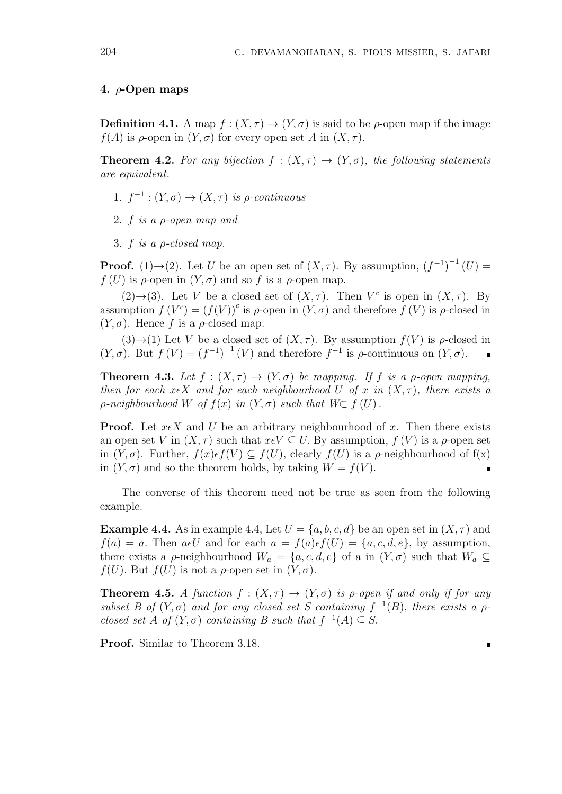## **4.** *ρ***-Open maps**

**Definition 4.1.** A map  $f : (X, \tau) \to (Y, \sigma)$  is said to be  $\rho$ -open map if the image *f*(*A*) is *ρ*-open in  $(Y, \sigma)$  for every open set *A* in  $(X, \tau)$ .

**Theorem 4.2.** For any bijection  $f : (X, \tau) \to (Y, \sigma)$ , the following statements *are equivalent.*

- 1.  $f^{-1}$  :  $(Y, \sigma) \rightarrow (X, \tau)$  *is*  $\rho$ -continuous
- 2. *f is a ρ-open map and*
- 3. *f is a ρ-closed map.*

**Proof.** (1) $\rightarrow$ (2). Let *U* be an open set of  $(X, \tau)$ . By assumption,  $(f^{-1})^{-1}(U)$  =  $f(U)$  is  $\rho$ -open in  $(Y, \sigma)$  and so *f* is a  $\rho$ -open map.

(2) $\rightarrow$ (3). Let *V* be a closed set of  $(X, \tau)$ . Then *V<sup>c</sup>* is open in  $(X, \tau)$ . By assumption  $f(V^c) = (f(V))^c$  is  $\rho$ -open in  $(Y, \sigma)$  and therefore  $f(V)$  is  $\rho$ -closed in  $(Y, \sigma)$ . Hence f is a  $\rho$ -closed map.

(3) $\rightarrow$ (1) Let *V* be a closed set of  $(X, \tau)$ . By assumption  $f(V)$  is  $\rho$ -closed in  $(Y, \sigma)$ . But  $f(V) = (f^{-1})^{-1}(V)$  and therefore  $f^{-1}$  is  $\rho$ -continuous on  $(Y, \sigma)$ .

**Theorem 4.3.** Let  $f : (X, \tau) \to (Y, \sigma)$  be mapping. If f is a *ρ*-open mapping, *then for each*  $x \in X$  *and for each neighbourhood U of x in*  $(X, \tau)$ *, there exists a*  $\rho$ *-neighbourhood*  $W$  *of*  $f(x)$  *in*  $(Y, \sigma)$  *such that*  $W \subset f(U)$ *.* 

**Proof.** Let  $x \in X$  and *U* be an arbitrary neighbourhood of *x*. Then there exists an open set *V* in  $(X, \tau)$  such that  $x \in V \subset U$ . By assumption,  $f(V)$  is a  $\rho$ -open set in  $(Y, \sigma)$ . Further,  $f(x) \in f(V) \subseteq f(U)$ , clearly  $f(U)$  is a  $\rho$ -neighbourhood of  $f(x)$ in  $(Y, \sigma)$  and so the theorem holds, by taking  $W = f(V)$ .

The converse of this theorem need not be true as seen from the following example.

**Example 4.4.** As in example 4.4, Let  $U = \{a, b, c, d\}$  be an open set in  $(X, \tau)$  and  $f(a) = a$ . Then  $a \in U$  and for each  $a = f(a) \in f(U) = \{a, c, d, e\}$ , by assumption, there exists a *ρ*-neighbourhood  $W_a = \{a, c, d, e\}$  of a in  $(Y, \sigma)$  such that  $W_a \subseteq$  $f(U)$ *.* But  $f(U)$  is not a  $\rho$ -open set in  $(Y, \sigma)$ *.* 

**Theorem 4.5.** *A function*  $f : (X, \tau) \to (Y, \sigma)$  *is p-open if and only if for any subset B of*  $(Y, \sigma)$  *and for any closed set S containing*  $f^{-1}(B)$ *, there exists a*  $\rho$ *closed set A of*  $(Y, \sigma)$  *containing B such that*  $f^{-1}(A) \subseteq S$ .

**Proof.** Similar to Theorem 3.18.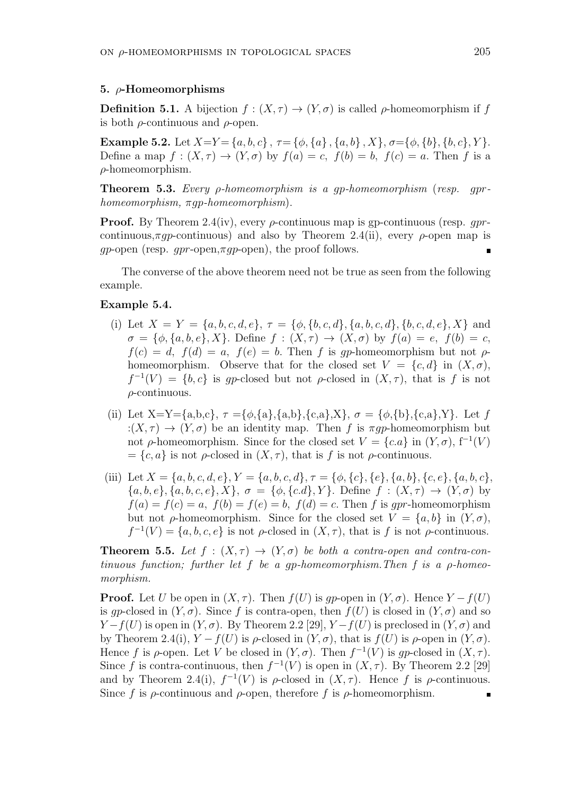### **5.** *ρ***-Homeomorphisms**

**Definition 5.1.** A bijection  $f : (X, \tau) \to (Y, \sigma)$  is called *ρ*-homeomorphism if *f* is both *ρ*-continuous and *ρ*-open.

**Example 5.2.** Let  $X=Y=\{a,b,c\}$ ,  $\tau=\{\phi,\{a\},\{a,b\},X\}$ ,  $\sigma=\{\phi,\{b\},\{b,c\},Y\}$ . Define a map  $f : (X, \tau) \to (Y, \sigma)$  by  $f(a) = c$ ,  $f(b) = b$ ,  $f(c) = a$ . Then f is a *ρ*-homeomorphism.

**Theorem 5.3.** *Every ρ-homeomorphism is a gp-homeomorphism* (*resp. gprhomeomorphism, πgp-homeomorphism*)*.*

**Proof.** By Theorem 2.4(iv), every *ρ*-continuous map is gp-continuous (resp. *gpr*continuous, $\pi q$ -continuous) and also by Theorem 2.4(ii), every *ρ*-open map is *gp*-open (resp. *gpr*-open,*πgp*-open), the proof follows.

The converse of the above theorem need not be true as seen from the following example.

# **Example 5.4.**

- (i) Let  $X = Y = \{a, b, c, d, e\}, \tau = \{\phi, \{b, c, d\}, \{a, b, c, d\}, \{b, c, d, e\}, X\}$  and  $\sigma = {\phi, \{a, b, e\}, X}$ *.* Define  $f : (X, \tau) \to (X, \sigma)$  by  $f(a) = e, f(b) = c$ ,  $f(c) = d$ ,  $f(d) = a$ ,  $f(e) = b$ . Then *f* is *gp*-homeomorphism but not *ρ*homeomorphism. Observe that for the closed set  $V = \{c, d\}$  in  $(X, \sigma)$ ,  $f^{-1}(V) = \{b, c\}$  is gp-closed but not *ρ*-closed in  $(X, \tau)$ , that is *f* is not *ρ*-continuous.
- (ii) Let  $X=Y=\{a,b,c\}$ ,  $\tau = \{\phi,\{a\},\{a,b\},\{c,a\},X\}$ ,  $\sigma = \{\phi,\{b\},\{c,a\},Y\}$ . Let f : $(X, \tau) \rightarrow (Y, \sigma)$  be an identity map. Then *f* is  $\pi q p$ -homeomorphism but not  $\rho$ -homeomorphism. Since for the closed set  $V = \{c.a\}$  in  $(Y, \sigma)$ ,  $f^{-1}(V)$  $= \{c, a\}$  is not *ρ*-closed in  $(X, \tau)$ , that is *f* is not *ρ*-continuous.
- (iii) Let  $X = \{a, b, c, d, e\}$ ,  $Y = \{a, b, c, d\}$ ,  $\tau = \{\phi, \{c\}, \{e\}, \{a, b\}, \{c, e\}, \{a, b, c\}$ ,  $\{a, b, e\}, \{a, b, c, e\}, X\}, \sigma = \{\phi, \{c, d\}, Y\}.$  Define  $f : (X, \tau) \to (Y, \sigma)$  by  $f(a) = f(c) = a$ ,  $f(b) = f(e) = b$ ,  $f(d) = c$ . Then *f* is *apr*-homeomorphism but not *ρ*-homeomorphism. Since for the closed set  $V = \{a, b\}$  in  $(Y, \sigma)$ ,  $f^{-1}(V) = \{a, b, c, e\}$  is not *ρ*-closed in  $(X, \tau)$ , that is *f* is not *ρ*-continuous.

**Theorem 5.5.** Let  $f : (X, \tau) \to (Y, \sigma)$  be both a contra-open and contra-con*tinuous function; further let f be a gp-homeomorphism.Then f is a ρ-homeomorphism.*

**Proof.** Let *U* be open in  $(X, \tau)$ . Then  $f(U)$  is *gp*-open in  $(Y, \sigma)$ . Hence  $Y - f(U)$ is *gp*-closed in  $(Y, \sigma)$ . Since f is contra-open, then  $f(U)$  is closed in  $(Y, \sigma)$  and so *Y* − *f*(*U*) is open in (*Y, σ*). By Theorem 2.2 [29], *Y* − *f*(*U*) is preclosed in (*Y, σ*) and by Theorem 2.4(i),  $Y - f(U)$  is *ρ*-closed in  $(Y, \sigma)$ , that is  $f(U)$  is *ρ*-open in  $(Y, \sigma)$ . Hence *f* is  $\rho$ -open. Let *V* be closed in  $(Y, \sigma)$ . Then  $f^{-1}(V)$  is gp-closed in  $(X, \tau)$ . Since *f* is contra-continuous, then  $f^{-1}(V)$  is open in  $(X, \tau)$ . By Theorem 2.2 [29] and by Theorem 2.4(i),  $f^{-1}(V)$  is  $\rho$ -closed in  $(X, \tau)$ . Hence f is  $\rho$ -continuous. Since *f* is *ρ*-continuous and *ρ*-open, therefore *f* is *ρ*-homeomorphism.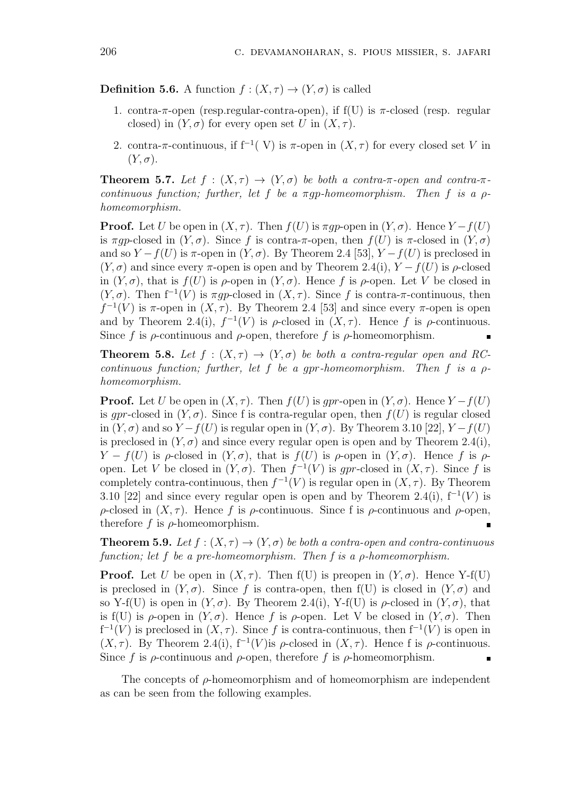**Definition 5.6.** A function  $f : (X, \tau) \to (Y, \sigma)$  is called

- 1. contra-*π*-open (resp.regular-contra-open), if f(U) is *π*-closed (resp. regular closed) in  $(Y, \sigma)$  for every open set *U* in  $(X, \tau)$ .
- 2. contra- $\pi$ -continuous, if  $f^{-1}(V)$  is  $\pi$ -open in  $(X, \tau)$  for every closed set V in  $(Y, \sigma)$ .

**Theorem 5.7.** Let  $f : (X, \tau) \to (Y, \sigma)$  be both a contra- $\pi$ -open and contra- $\pi$ *continuous function; further, let*  $f$  *be a*  $\pi q p$ -*homeomorphism. Then*  $f$  *is a*  $p$ *homeomorphism.*

**Proof.** Let *U* be open in  $(X, \tau)$ . Then  $f(U)$  is  $\pi q p$ -open in  $(Y, \sigma)$ . Hence  $Y - f(U)$ is  $\pi q p$ -closed in  $(Y, \sigma)$ . Since f is contra- $\pi$ -open, then  $f(U)$  is  $\pi$ -closed in  $(Y, \sigma)$ and so  $Y - f(U)$  is  $\pi$ -open in  $(Y, \sigma)$ . By Theorem 2.4 [53],  $Y - f(U)$  is preclosed in  $(Y, \sigma)$  and since every  $\pi$ -open is open and by Theorem 2.4(i),  $Y - f(U)$  is  $\rho$ -closed in  $(Y, \sigma)$ , that is  $f(U)$  is  $\rho$ -open in  $(Y, \sigma)$ . Hence f is  $\rho$ -open. Let V be closed in  $(Y, \sigma)$ . Then  $f^{-1}(V)$  is  $\pi gp$ -closed in  $(X, \tau)$ . Since f is contra- $\pi$ -continuous, then  $f^{-1}(V)$  is  $\pi$ -open in  $(X, \tau)$ . By Theorem 2.4 [53] and since every  $\pi$ -open is open and by Theorem 2.4(i),  $f^{-1}(V)$  is  $\rho$ -closed in  $(X, \tau)$ . Hence f is  $\rho$ -continuous. Since *f* is *ρ*-continuous and *ρ*-open, therefore *f* is *ρ*-homeomorphism.

**Theorem 5.8.** Let  $f : (X, \tau) \to (Y, \sigma)$  be both a contra-regular open and RC*continuous function; further, let f be a gpr-homeomorphism. Then f is a ρhomeomorphism.*

**Proof.** Let *U* be open in  $(X, \tau)$ . Then  $f(U)$  is *gpr*-open in  $(Y, \sigma)$ . Hence  $Y - f(U)$ is *gpr*-closed in  $(Y, \sigma)$ . Since f is contra-regular open, then  $f(U)$  is regular closed in  $(Y, \sigma)$  and so  $Y - f(U)$  is regular open in  $(Y, \sigma)$ . By Theorem 3.10 [22],  $Y - f(U)$ is preclosed in  $(Y, \sigma)$  and since every regular open is open and by Theorem 2.4(i), *Y* − *f*(*U*) is *ρ*-closed in  $(Y, σ)$ , that is *f*(*U*) is *ρ*-open in  $(Y, σ)$ . Hence *f* is *ρ*open. Let *V* be closed in  $(Y, \sigma)$ . Then  $f^{-1}(V)$  is *gpr*-closed in  $(X, \tau)$ . Since f is completely contra-continuous, then  $f^{-1}(V)$  is regular open in  $(X, \tau)$ . By Theorem 3.10 [22] and since every regular open is open and by Theorem 2.4(i),  $f^{-1}(V)$  is *ρ*-closed in  $(X, τ)$ . Hence *f* is *ρ*-continuous. Since f is *ρ*-continuous and *ρ*-open, therefore  $f$  is  $\rho$ -homeomorphism.

**Theorem 5.9.** Let  $f : (X, \tau) \to (Y, \sigma)$  be both a contra-open and contra-continuous *function; let f be a pre-homeomorphism. Then f is a ρ-homeomorphism.*

**Proof.** Let *U* be open in  $(X, \tau)$ . Then  $f(U)$  is preopen in  $(Y, \sigma)$ . Hence Y-f(U) is preclosed in  $(Y, \sigma)$ . Since f is contra-open, then  $f(U)$  is closed in  $(Y, \sigma)$  and so Y-f(U) is open in  $(Y, \sigma)$ . By Theorem 2.4(i), Y-f(U) is  $\rho$ -closed in  $(Y, \sigma)$ , that is f(U) is  $\rho$ -open in  $(Y, \sigma)$ . Hence f is  $\rho$ -open. Let V be closed in  $(Y, \sigma)$ . Then  $f^{-1}(V)$  is preclosed in  $(X, \tau)$ . Since f is contra-continuous, then  $f^{-1}(V)$  is open in (*X, τ*). By Theorem 2.4(i),  $f<sup>-1</sup>(V)$  is *ρ*-closed in (*X, τ*). Hence f is *ρ*-continuous. Since f is  $\rho$ -continuous and  $\rho$ -open, therefore f is  $\rho$ -homeomorphism.

The concepts of *ρ*-homeomorphism and of homeomorphism are independent as can be seen from the following examples.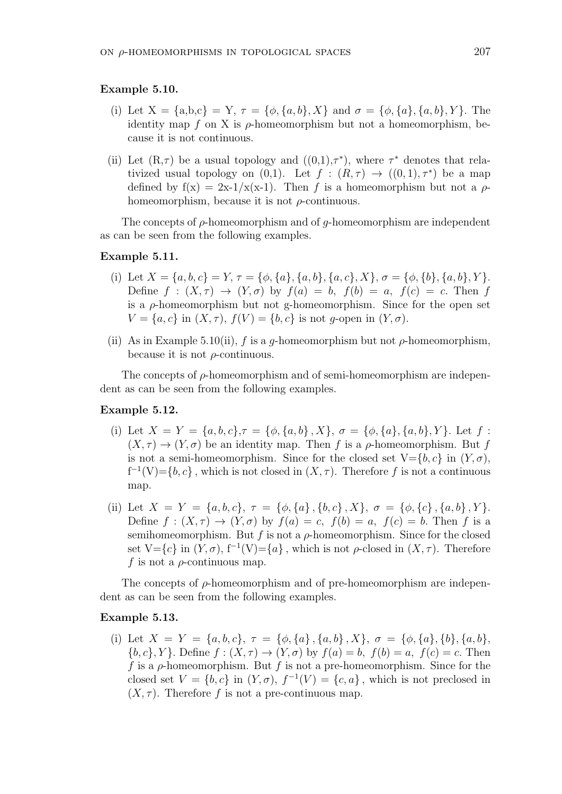#### **Example 5.10.**

- (i) Let  $X = \{a,b,c\} = Y$ ,  $\tau = \{\phi, \{a,b\}, X\}$  and  $\sigma = \{\phi, \{a\}, \{a,b\}, Y\}$ . The identity map  $f$  on  $X$  is  $\rho$ -homeomorphism but not a homeomorphism, because it is not continuous.
- (ii) Let  $(R,\tau)$  be a usual topology and  $((0,1),\tau^*)$ , where  $\tau^*$  denotes that relativized usual topology on  $(0,1)$ . Let  $f : (R, \tau) \to ((0,1), \tau^*)$  be a map defined by  $f(x) = 2x-1/x(x-1)$ . Then *f* is a homeomorphism but not a  $\rho$ homeomorphism, because it is not *ρ*-continuous.

The concepts of *ρ*-homeomorphism and of *g*-homeomorphism are independent as can be seen from the following examples.

### **Example 5.11.**

- (i) Let  $X = \{a, b, c\} = Y$ ,  $\tau = \{\phi, \{a\}, \{a, b\}, \{a, c\}, X\}$ ,  $\sigma = \{\phi, \{b\}, \{a, b\}, Y\}$ . Define  $f : (X, \tau) \to (Y, \sigma)$  by  $f(a) = b$ ,  $f(b) = a$ ,  $f(c) = c$ . Then *f* is a  $\rho$ -homeomorphism but not g-homeomorphism. Since for the open set  $V = \{a, c\}$  in  $(X, \tau)$ ,  $f(V) = \{b, c\}$  is not *g*-open in  $(Y, \sigma)$ .
- (ii) As in Example 5.10(ii),  $f$  is a  $q$ -homeomorphism but not  $\rho$ -homeomorphism, because it is not *ρ*-continuous.

The concepts of *ρ*-homeomorphism and of semi-homeomorphism are independent as can be seen from the following examples.

#### **Example 5.12.**

- (i) Let  $X = Y = \{a, b, c\}, \tau = \{\phi, \{a, b\}, X\}, \sigma = \{\phi, \{a\}, \{a, b\}, Y\}.$  Let  $f$ :  $(X, \tau) \to (Y, \sigma)$  be an identity map. Then *f* is a *ρ*-homeomorphism. But *f* is not a semi-homeomorphism. Since for the closed set  $V = \{b, c\}$  in  $(Y, \sigma)$ ,  $f^{-1}(V) = \{b, c\}$ , which is not closed in  $(X, \tau)$ . Therefore *f* is not a continuous map.
- (ii) Let  $X = Y = \{a, b, c\}, \tau = \{\phi, \{a\}, \{b, c\}, X\}, \sigma = \{\phi, \{c\}, \{a, b\}, Y\}.$ Define  $f: (X, \tau) \to (Y, \sigma)$  by  $f(a) = c$ ,  $f(b) = a$ ,  $f(c) = b$ . Then *f* is a semihomeomorphism. But  $f$  is not a  $\rho$ -homeomorphism. Since for the closed set  $V = \{c\}$  in  $(Y, \sigma)$ ,  $f^{-1}(V) = \{a\}$ , which is not  $\rho$ -closed in  $(X, \tau)$ . Therefore *f* is not a *ρ*-continuous map.

The concepts of *ρ*-homeomorphism and of pre-homeomorphism are independent as can be seen from the following examples.

#### **Example 5.13.**

(i) Let  $X = Y = \{a, b, c\}, \tau = \{\phi, \{a\}, \{a, b\}, X\}, \sigma = \{\phi, \{a\}, \{b\}, \{a, b\}, \sigma\}$  ${b, c}$ , *Y* }*.* Define  $f : (X, \tau) \to (Y, \sigma)$  by  $f(a) = b$ ,  $f(b) = a$ ,  $f(c) = c$ . Then *f* is a *ρ*-homeomorphism. But *f* is not a pre-homeomorphism. Since for the closed set  $V = \{b, c\}$  in  $(Y, \sigma)$ ,  $f^{-1}(V) = \{c, a\}$ , which is not preclosed in  $(X, \tau)$ . Therefore f is not a pre-continuous map.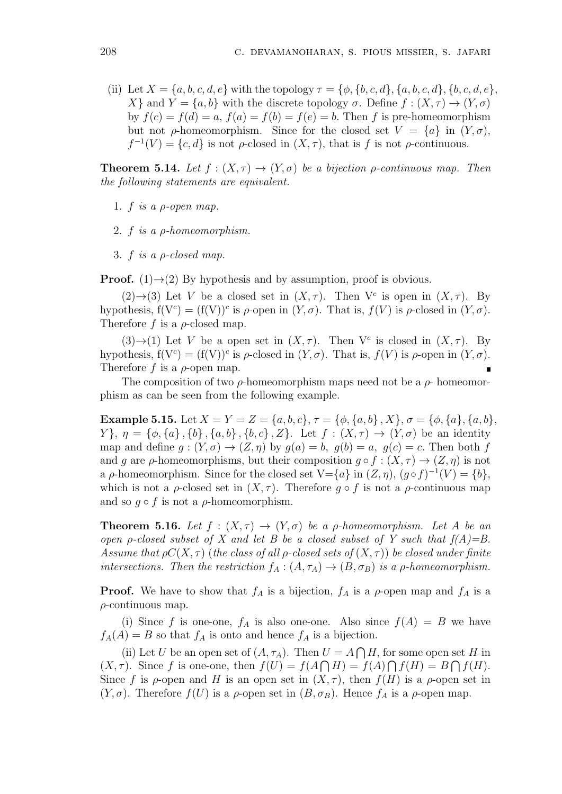(ii) Let  $X = \{a, b, c, d, e\}$  with the topology  $\tau = \{\phi, \{b, c, d\}, \{a, b, c, d\}, \{b, c, d, e\},\}$ *X}* and *Y* = *{a, b}* with the discrete topology *σ*. Define *f* : (*X, τ*)  $\rightarrow$  (*Y, σ*) by  $f(c) = f(d) = a$ ,  $f(a) = f(b) = f(e) = b$ . Then *f* is pre-homeomorphism but not *ρ*-homeomorphism. Since for the closed set  $V = \{a\}$  in  $(Y, \sigma)$ ,  $f^{-1}(V) = \{c, d\}$  is not *ρ*-closed in  $(X, \tau)$ , that is *f* is not *ρ*-continuous.

**Theorem 5.14.** *Let*  $f : (X, \tau) \to (Y, \sigma)$  *be a bijection*  $\rho$ *-continuous map. Then the following statements are equivalent.*

- 1. *f is a ρ-open map.*
- 2. *f is a ρ-homeomorphism.*
- 3. *f is a ρ-closed map.*

**Proof.** (1) $\rightarrow$ (2) By hypothesis and by assumption, proof is obvious.

(2) $\rightarrow$ (3) Let *V* be a closed set in  $(X, \tau)$ . Then  $V^c$  is open in  $(X, \tau)$ . By hypothesis,  $f(V^c) = (f(V))^c$  is  $\rho$ -open in  $(Y, \sigma)$ . That is,  $f(V)$  is  $\rho$ -closed in  $(Y, \sigma)$ . Therefore *f* is a *ρ*-closed map.

(3) $\rightarrow$ (1) Let *V* be a open set in  $(X, \tau)$ . Then  $V^c$  is closed in  $(X, \tau)$ . By hypothesis,  $f(V^c) = (f(V))^c$  is  $\rho$ -closed in  $(Y, \sigma)$ . That is,  $f(V)$  is  $\rho$ -open in  $(Y, \sigma)$ . Therefore *f* is a *ρ*-open map.

The composition of two  $\rho$ -homeomorphism maps need not be a  $\rho$ -homeomorphism as can be seen from the following example.

**Example 5.15.** Let  $X = Y = Z = \{a, b, c\}, \tau = \{\phi, \{a, b\}, X\}, \sigma = \{\phi, \{a\}, \{a, b\}, \sigma\}$  $Y$ ,  $\eta = {\phi, \{a\}, \{b\}, \{a, b\}, \{b, c\}, Z}$ . Let  $f : (X, \tau) \to (Y, \sigma)$  be an identity map and define  $g: (Y, \sigma) \to (Z, \eta)$  by  $g(a) = b$ ,  $g(b) = a$ ,  $g(c) = c$ . Then both f and *g* are *ρ*-homeomorphisms, but their composition  $g \circ f : (X, \tau) \to (Z, \eta)$  is not a *ρ*-homeomorphism. Since for the closed set  $V = \{a\}$  in  $(Z, \eta)$ ,  $(g \circ f)^{-1}(V) = \{b\}$ , which is not a  $\rho$ -closed set in  $(X, \tau)$ . Therefore  $g \circ f$  is not a  $\rho$ -continuous map and so  $q \circ f$  is not a *ρ*-homeomorphism.

**Theorem 5.16.** Let  $f : (X, \tau) \to (Y, \sigma)$  be a *ρ*-homeomorphism. Let A be an *open ρ*-closed subset of X and let B be a closed subset of Y such that  $f(A)=B$ . *Assume that*  $\rho C(X, \tau)$  (*the class of all*  $\rho$ -closed sets of  $(X, \tau)$ ) *be closed under finite intersections. Then the restriction*  $f_A : (A, \tau_A) \to (B, \sigma_B)$  *is a p-homeomorphism.* 

**Proof.** We have to show that  $f_A$  is a bijection,  $f_A$  is a  $\rho$ -open map and  $f_A$  is a *ρ*-continuous map.

(i) Since f is one-one,  $f_A$  is also one-one. Also since  $f(A) = B$  we have  $f_A(A) = B$  so that  $f_A$  is onto and hence  $f_A$  is a bijection.

(ii) Let *U* be an open set of  $(A, \tau_A)$ . Then  $U = A \cap H$ , for some open set *H* in  $(X, \tau)$ . Since *f* is one-one, then  $f(U) = f(A \cap H) = f(A) \cap f(H) = B \cap f(H)$ . Since f is  $\rho$ -open and H is an open set in  $(X, \tau)$ , then  $f(H)$  is a  $\rho$ -open set in  $(Y, \sigma)$ . Therefore  $f(U)$  is a  $\rho$ -open set in  $(B, \sigma_B)$ . Hence  $f_A$  is a  $\rho$ -open map.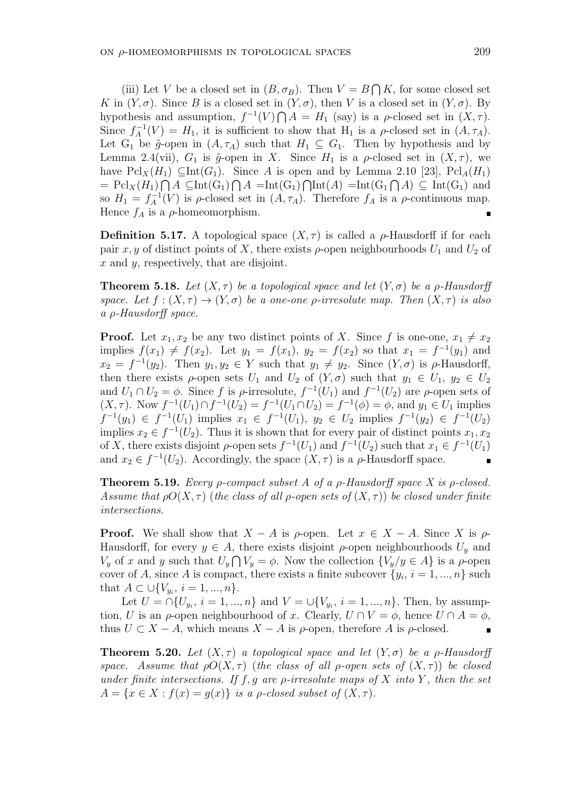(iii) Let *V* be a closed set in  $(B, \sigma_B)$ . Then  $V = B \cap K$ , for some closed set *K* in  $(Y, \sigma)$ . Since *B* is a closed set in  $(Y, \sigma)$ , then *V* is a closed set in  $(Y, \sigma)$ . By hypothesis and assumption,  $f^{-1}(V) \bigcap A = H_1$  (say) is a  $\rho$ -closed set in  $(X, \tau)$ . Since  $f_A^{-1}(V) = H_1$ , it is sufficient to show that  $H_1$  is a *ρ*-closed set in  $(A, \tau_A)$ . Let  $G_1$  be  $\tilde{g}$ -open in  $(A, \tau_A)$  such that  $H_1 \subseteq G_1$ . Then by hypothesis and by Lemma 2.4(vii),  $G_1$  is  $\tilde{g}$ -open in *X*. Since  $H_1$  is a  $\rho$ -closed set in  $(X, \tau)$ , we have  $\text{Pcl}_X(H_1) \subseteq \text{Int}(G_1)$ . Since *A* is open and by Lemma 2.10 [23],  $\text{Pcl}_A(H_1)$  $=$   $\mathrm{Pcl}_X(H_1) \cap A \subseteq \mathrm{Int}(G_1) \cap A = \mathrm{Int}(G_1) \cap \mathrm{Int}(A) = \mathrm{Int}(G_1 \cap A) \subseteq \mathrm{Int}(G_1)$  and so  $H_1 = f_A^{-1}(V)$  is *ρ*-closed set in  $(A, \tau_A)$ . Therefore  $f_A$  is a *ρ*-continuous map. Hence  $f_A$  is a  $\rho$ -homeomorphism.

**Definition 5.17.** A topological space  $(X, \tau)$  is called a *ρ*-Hausdorff if for each pair *x*, *y* of distinct points of *X*, there exists  $\rho$ -open neighbourhoods  $U_1$  and  $U_2$  of *x* and *y*, respectively, that are disjoint.

**Theorem 5.18.** *Let*  $(X, \tau)$  *be a topological space and let*  $(Y, \sigma)$  *be a p-Hausdorff space.* Let  $f : (X, \tau) \to (Y, \sigma)$  be a one-one *ρ*-irresolute map. Then  $(X, \tau)$  is also *a ρ-Hausdorff space.*

**Proof.** Let  $x_1, x_2$  be any two distinct points of *X*. Since *f* is one-one,  $x_1 \neq x_2$ implies  $f(x_1) \neq f(x_2)$ . Let  $y_1 = f(x_1)$ ,  $y_2 = f(x_2)$  so that  $x_1 = f^{-1}(y_1)$  and  $x_2 = f^{-1}(y_2)$ . Then  $y_1, y_2 \in Y$  such that  $y_1 \neq y_2$ . Since  $(Y, \sigma)$  is  $\rho$ -Hausdorff, then there exists  $\rho$ -open sets  $U_1$  and  $U_2$  of  $(Y, \sigma)$  such that  $y_1 \in U_1$ ,  $y_2 \in U_2$ and  $U_1 \cap U_2 = \phi$ . Since f is  $\rho$ -irresolute,  $f^{-1}(U_1)$  and  $f^{-1}(U_2)$  are  $\rho$ -open sets of  $(X, \tau)$ . Now  $f^{-1}(U_1) \cap f^{-1}(U_2) = f^{-1}(U_1 \cap U_2) = f^{-1}(\phi) = \phi$ , and  $y_1 \in U_1$  implies  $f^{-1}(y_1) \in f^{-1}(U_1)$  implies  $x_1 \in f^{-1}(U_1)$ ,  $y_2 \in U_2$  implies  $f^{-1}(y_2) \in f^{-1}(U_2)$ implies  $x_2 \in f^{-1}(U_2)$ . Thus it is shown that for every pair of distinct points  $x_1, x_2$ of *X*, there exists disjoint  $\rho$ -open sets  $f^{-1}(U_1)$  and  $f^{-1}(U_2)$  such that  $x_1 \in f^{-1}(U_1)$ and  $x_2 \in f^{-1}(U_2)$ . Accordingly, the space  $(X, \tau)$  is a  $\rho$ -Hausdorff space.

**Theorem 5.19.** *Every ρ-compact subset A of a ρ-Hausdorff space X is ρ-closed. Assume that*  $\rho O(X, \tau)$  (*the class of all*  $\rho$ -open sets of  $(X, \tau)$ ) be closed under finite *intersections.*

**Proof.** We shall show that  $X - A$  is  $\rho$ -open. Let  $x \in X - A$ . Since X is  $\rho$ -Hausdorff, for every  $y \in A$ , there exists disjoint  $\rho$ -open neighbourhoods  $U_y$  and *V*<sub>y</sub> of *x* and *y* such that  $U_y \cap V_y = \phi$ . Now the collection  $\{V_y/y \in A\}$  is a *ρ*-open cover of *A*, since *A* is compact, there exists a finite subcover  $\{y_i, i = 1, ..., n\}$  such that  $A \subset \bigcup \{V_{y_i}, i = 1, ..., n\}.$ 

Let  $U = \bigcap \{U_{y_i}, i = 1, ..., n\}$  and  $V = \bigcup \{V_{y_i}, i = 1, ..., n\}$ . Then, by assumption, *U* is an *ρ*-open neighbourhood of *x*. Clearly,  $U \cap V = \phi$ , hence  $U \cap A = \phi$ , thus  $U \subset X - A$ , which means  $X - A$  is  $\rho$ -open, therefore A is  $\rho$ -closed.

**Theorem 5.20.** *Let*  $(X, \tau)$  *a topological space and let*  $(Y, \sigma)$  *be a*  $\rho$ *-Hausdorff space.* Assume that  $\rho O(X, \tau)$  (the class of all  $\rho$ -open sets of  $(X, \tau)$ ) be closed *under finite intersections. If f, g are ρ-irresolute maps of X into Y , then the set*  $A = \{x \in X : f(x) = g(x)\}\$ is a *p*-closed subset of  $(X, \tau)$ .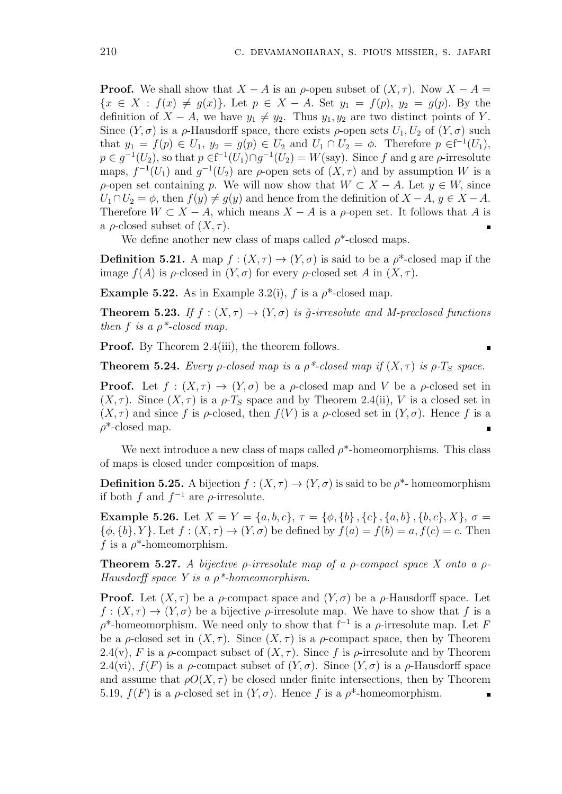$\blacksquare$ 

**Proof.** We shall show that  $X - A$  is an  $\rho$ -open subset of  $(X, \tau)$ . Now  $X - A =$  $\{x \in X : f(x) \neq g(x)\}\.$  Let  $p \in X - A$ . Set  $y_1 = f(p), y_2 = g(p)$ . By the definition of  $X - A$ , we have  $y_1 \neq y_2$ . Thus  $y_1, y_2$  are two distinct points of *Y*. Since  $(Y, \sigma)$  is a  $\rho$ -Hausdorff space, there exists  $\rho$ -open sets  $U_1, U_2$  of  $(Y, \sigma)$  such that  $y_1 = f(p) \in U_1$ ,  $y_2 = g(p) \in U_2$  and  $U_1 \cap U_2 = \phi$ . Therefore  $p \in f^{-1}(U_1)$ ,  $p \in g^{-1}(U_2)$ , so that  $p \in f^{-1}(U_1) \cap g^{-1}(U_2) = W(\text{say})$ . Since *f* and g are  $\rho$ -irresolute maps,  $f^{-1}(U_1)$  and  $g^{-1}(U_2)$  are  $\rho$ -open sets of  $(X, \tau)$  and by assumption *W* is a *ρ*-open set containing *p*. We will now show that  $W \subset X - A$ . Let  $y \in W$ , since  $U_1 \cap U_2 = \phi$ , then  $f(y) \neq g(y)$  and hence from the definition of  $X - A$ ,  $y \in X - A$ . Therefore  $W \subset X - A$ , which means  $X - A$  is a  $\rho$ -open set. It follows that A is a  $\rho$ -closed subset of  $(X, \tau)$ .

We define another new class of maps called  $\rho^*$ -closed maps.

**Definition 5.21.** A map  $f : (X, \tau) \to (Y, \sigma)$  is said to be a  $\rho^*$ -closed map if the image  $f(A)$  is  $\rho$ -closed in  $(Y, \sigma)$  for every  $\rho$ -closed set A in  $(X, \tau)$ .

**Example 5.22.** As in Example 3.2(i), *f* is a  $\rho^*$ -closed map.

**Theorem 5.23.** *If*  $f : (X, \tau) \to (Y, \sigma)$  *is*  $\tilde{g}$ -*irresolute and M-preclosed functions then*  $f$  *is a*  $\rho^*$ -closed map.

**Proof.** By Theorem 2.4(iii), the theorem follows.

**Theorem 5.24.** *Every ρ*-closed map is a  $\rho^*$ -closed map if  $(X, \tau)$  *is*  $\rho$ -*T<sub>S</sub> space.* 

**Proof.** Let  $f : (X, \tau) \to (Y, \sigma)$  be a *ρ*-closed map and *V* be a *ρ*-closed set in  $(X, \tau)$ . Since  $(X, \tau)$  is a  $\rho$ -*T<sub>S</sub>* space and by Theorem 2.4(ii), *V* is a closed set in  $(X, \tau)$  and since f is  $\rho$ -closed, then  $f(V)$  is a  $\rho$ -closed set in  $(Y, \sigma)$ . Hence f is a *ρ*\*-closed map.

We next introduce a new class of maps called  $\rho^*$ -homeomorphisms. This class of maps is closed under composition of maps.

**Definition 5.25.** A bijection  $f : (X, \tau) \to (Y, \sigma)$  is said to be  $\rho^*$ - homeomorphism if both  $f$  and  $f^{-1}$  are  $\rho$ -irresolute.

**Example 5.26.** Let  $X = Y = \{a, b, c\}, \tau = \{\phi, \{b\}, \{c\}, \{a, b\}, \{b, c\}, X\}, \sigma =$  $\{\phi, \{b\}, Y\}$ . Let  $f : (X, \tau) \to (Y, \sigma)$  be defined by  $f(a) = f(b) = a, f(c) = c$ . Then *f* is a *ρ*\*-homeomorphism.

**Theorem 5.27.** *A bijective ρ-irresolute map of a ρ-compact space X onto a ρ-Hausdorff space Y is a ρ\*-homeomorphism.*

**Proof.** Let  $(X, \tau)$  be a  $\rho$ -compact space and  $(Y, \sigma)$  be a  $\rho$ -Hausdorff space. Let  $f: (X, \tau) \to (Y, \sigma)$  be a bijective  $\rho$ -irresolute map. We have to show that f is a *ρ*\*-homeomorphism. We need only to show that f*−*<sup>1</sup> is a *ρ*-irresolute map. Let *F* be a *ρ*-closed set in  $(X, \tau)$ . Since  $(X, \tau)$  is a *ρ*-compact space, then by Theorem 2.4(v), *F* is a *ρ*-compact subset of  $(X, \tau)$ . Since *f* is *ρ*-irresolute and by Theorem 2.4(vi),  $f(F)$  is a *ρ*-compact subset of  $(Y, \sigma)$ . Since  $(Y, \sigma)$  is a *ρ*-Hausdorff space and assume that  $\rho O(X, \tau)$  be closed under finite intersections, then by Theorem 5.19, *f*(*F*) is a *ρ*-closed set in (*Y, σ*). Hence *f* is a *ρ*\*-homeomorphism.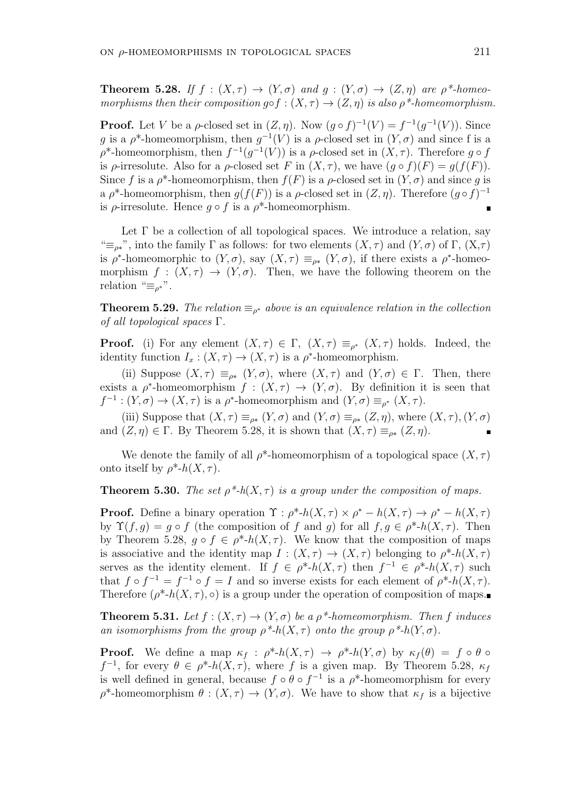**Theorem 5.28.** If  $f : (X, \tau) \to (Y, \sigma)$  and  $g : (Y, \sigma) \to (Z, \eta)$  are  $\rho^*$ -homeo*morphisms then their composition*  $g \circ f : (X, \tau) \to (Z, \eta)$  *is also*  $\rho^*$ -homeomorphism.

**Proof.** Let *V* be a *ρ*-closed set in  $(Z, \eta)$ . Now  $(g \circ f)^{-1}(V) = f^{-1}(g^{-1}(V))$ . Since *g* is a  $\rho^*$ -homeomorphism, then  $g^{-1}(V)$  is a  $\rho$ -closed set in  $(Y, \sigma)$  and since f is a  $\rho^*$ -homeomorphism, then  $f^{-1}(g^{-1}(V))$  is a  $\rho$ -closed set in  $(X, \tau)$ . Therefore  $g \circ f$ is *ρ*-irresolute. Also for a *ρ*-closed set *F* in  $(X, \tau)$ , we have  $(q \circ f)(F) = q(f(F))$ . Since *f* is a  $\rho^*$ -homeomorphism, then  $f(F)$  is a  $\rho$ -closed set in  $(Y, \sigma)$  and since *g* is a  $\rho^*$ -homeomorphism, then  $g(f(F))$  is a  $\rho$ -closed set in  $(Z, \eta)$ . Therefore  $(g \circ f)^{-1}$ is  $\rho$ -irresolute. Hence  $q \circ f$  is a  $\rho^*$ -homeomorphism.

Let  $\Gamma$  be a collection of all topological spaces. We introduce a relation, say <sup>"</sup> $\equiv$ <sub>*ρ*<sup>\*</sup></sub>, into the family Γ as follows: for two elements (*X, τ*) and (*Y, σ*) of Γ, (*X, τ*) is  $\rho^*$ -homeomorphic to  $(Y, \sigma)$ , say  $(X, \tau) \equiv_{\rho^*} (Y, \sigma)$ , if there exists a  $\rho^*$ -homeomorphism  $f : (X, \tau) \to (Y, \sigma)$ . Then, we have the following theorem on the relation " $\equiv_{\rho^*}$ ".

**Theorem 5.29.** *The relation*  $\equiv_{\rho^*}$  *above is an equivalence relation in the collection of all topological spaces* Γ*.*

**Proof.** (i) For any element  $(X, \tau) \in \Gamma$ ,  $(X, \tau) \equiv_{\rho^*} (X, \tau)$  holds. Indeed, the identity function  $I_x : (X, \tau) \to (X, \tau)$  is a  $\rho^*$ -homeomorphism.

(ii) Suppose  $(X, \tau) \equiv_{\rho^*} (Y, \sigma)$ , where  $(X, \tau)$  and  $(Y, \sigma) \in \Gamma$ . Then, there exists a  $\rho^*$ -homeomorphism  $f : (X, \tau) \to (Y, \sigma)$ . By definition it is seen that  $f^{-1}$  :  $(Y, \sigma) \to (X, \tau)$  is a  $\rho^*$ -homeomorphism and  $(Y, \sigma) \equiv_{\rho^*} (X, \tau)$ .

(iii) Suppose that  $(X, \tau) \equiv_{\rho^*} (Y, \sigma)$  and  $(Y, \sigma) \equiv_{\rho^*} (Z, \eta)$ , where  $(X, \tau)$ ,  $(Y, \sigma)$ and  $(Z, \eta) \in \Gamma$ . By Theorem 5.28, it is shown that  $(X, \tau) \equiv_{\rho^*} (Z, \eta)$ .

We denote the family of all  $\rho^*$ -homeomorphism of a topological space  $(X, \tau)$ onto itself by  $\rho^*$ - $h(X, \tau)$ .

**Theorem 5.30.** *The set*  $\rho^*$ -h( $X, \tau$ ) *is a group under the composition of maps.* 

**Proof.** Define a binary operation  $\Upsilon$ :  $\rho^*$ - $h(X, \tau) \times \rho^*$  -  $h(X, \tau) \to \rho^*$  -  $h(X, \tau)$ by  $\Upsilon(f,g) = g \circ f$  (the composition of f and g) for all  $f,g \in \rho^*{\text{-}h}(X,\tau)$ . Then by Theorem 5.28,  $g \circ f \in \rho^*$ - $h(X, \tau)$ . We know that the composition of maps is associative and the identity map  $I : (X, \tau) \to (X, \tau)$  belonging to  $\rho^*$ -*h*(*X,*  $\tau$ ) serves as the identity element. If  $f \in \rho^*$ - $h(X, \tau)$  then  $f^{-1} \in \rho^*$ - $h(X, \tau)$  such that  $f \circ f^{-1} = f^{-1} \circ f = I$  and so inverse exists for each element of  $\rho^* \circ h(X, \tau)$ . Therefore  $(\rho^*$ - $h(X, \tau)$ ,  $\circ)$  is a group under the operation of composition of maps.

**Theorem 5.31.** Let  $f : (X, \tau) \to (Y, \sigma)$  be a  $\rho^*$ -homeomorphism. Then f induces *an isomorphisms from the group*  $\rho^*$ -*h*(*X,*  $\tau$ *) onto the group*  $\rho^*$ -*h*(*Y,*  $\sigma$ )*.* 

**Proof.** We define a map  $\kappa_f : \rho^* h(X, \tau) \to \rho^* h(Y, \sigma)$  by  $\kappa_f(\theta) = f \circ \theta$  $f^{-1}$ , for every  $\theta \in \rho^*$ -*h*(*X, τ*), where *f* is a given map. By Theorem 5.28,  $\kappa_f$ is well defined in general, because  $f \circ \theta \circ f^{-1}$  is a  $\rho^*$ -homeomorphism for every  $\rho^*$ -homeomorphism  $\theta : (X, \tau) \to (Y, \sigma)$ . We have to show that  $\kappa_f$  is a bijective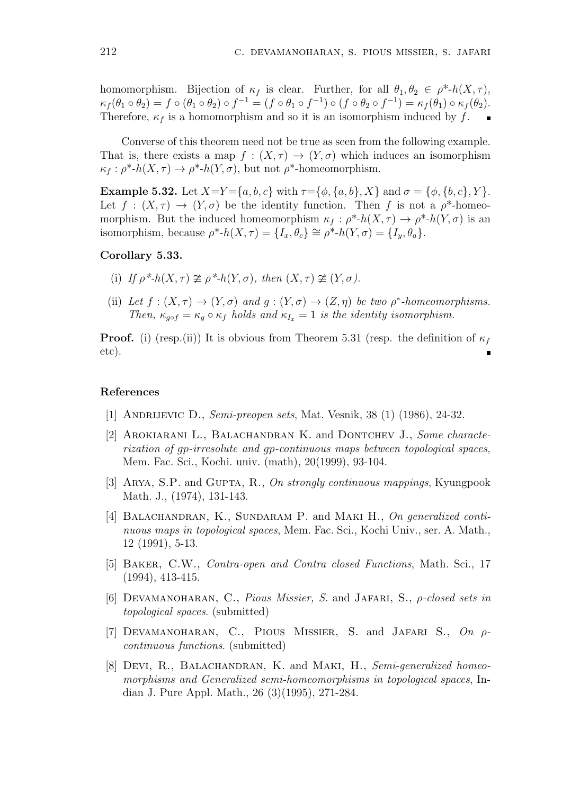homomorphism. Bijection of  $\kappa_f$  is clear. Further, for all  $\theta_1, \theta_2 \in \rho^*$ - $h(X, \tau)$ ,  $\kappa_f(\theta_1 \circ \theta_2) = f \circ (\theta_1 \circ \theta_2) \circ f^{-1} = (f \circ \theta_1 \circ f^{-1}) \circ (f \circ \theta_2 \circ f^{-1}) = \kappa_f(\theta_1) \circ \kappa_f(\theta_2).$ Therefore,  $\kappa_f$  is a homomorphism and so it is an isomorphism induced by  $f$ .

Converse of this theorem need not be true as seen from the following example. That is, there exists a map  $f : (X, \tau) \to (Y, \sigma)$  which induces an isomorphism  $\kappa_f : \rho^*$ -*h*(*X, τ*)  $\rightarrow \rho^*$ -*h*(*Y, σ*), but not  $\rho^*$ -homeomorphism.

**Example 5.32.** Let  $X=Y=\{a,b,c\}$  with  $\tau=\{\phi,\{a,b\},X\}$  and  $\sigma=\{\phi,\{b,c\},Y\}$ . Let  $f : (X, \tau) \to (Y, \sigma)$  be the identity function. Then f is not a  $\rho^*$ -homeomorphism. But the induced homeomorphism  $\kappa_f : \rho^* h(X, \tau) \to \rho^* h(Y, \sigma)$  is an isomorphism, because  $\rho^*$ - $h(X, \tau) = \{I_x, \theta_c\} \cong \rho^*$ - $h(Y, \sigma) = \{I_y, \theta_a\}.$ 

# **Corollary 5.33.**

- (i) *If*  $\rho^*$ - $h(X,\tau) \ncong \rho^*$ - $h(Y,\sigma)$ , then  $(X,\tau) \ncong (Y,\sigma)$ .
- (ii) Let  $f : (X, \tau) \to (Y, \sigma)$  and  $g : (Y, \sigma) \to (Z, \eta)$  be two  $\rho^*$ -homeomorphisms. *Then,*  $\kappa_{qof} = \kappa_q \circ \kappa_f$  *holds and*  $\kappa_{I_r} = 1$  *is the identity isomorphism.*

**Proof.** (i) (resp.(ii)) It is obvious from Theorem 5.31 (resp. the definition of  $\kappa_f$ etc).

#### **References**

- [1] Andrijevic D., *Semi-preopen sets*, Mat. Vesnik, 38 (1) (1986), 24-32.
- [2] Arokiarani L., Balachandran K. and Dontchev J., *Some characterization of gp-irresolute and gp-continuous maps between topological spaces,* Mem. Fac. Sci., Kochi. univ. (math), 20(1999), 93-104.
- [3] Arya, S.P. and Gupta, R., *On strongly continuous mappings*, Kyungpook Math. J., (1974), 131-143.
- [4] BALACHANDRAN, K., SUNDARAM P. and MAKI H., On generalized conti*nuous maps in topological spaces*, Mem. Fac. Sci., Kochi Univ., ser. A. Math., 12 (1991), 5-13.
- [5] Baker, C.W., *Contra-open and Contra closed Functions*, Math. Sci., 17 (1994), 413-415.
- [6] Devamanoharan, C., *Pious Missier, S.* and Jafari, S., *ρ-closed sets in topological spaces*. (submitted)
- [7] Devamanoharan, C., Pious Missier, S. and Jafari S., *On ρcontinuous functions*. (submitted)
- [8] Devi, R., Balachandran, K. and Maki, H., *Semi-generalized homeomorphisms and Generalized semi-homeomorphisms in topological spaces*, Indian J. Pure Appl. Math., 26 (3)(1995), 271-284.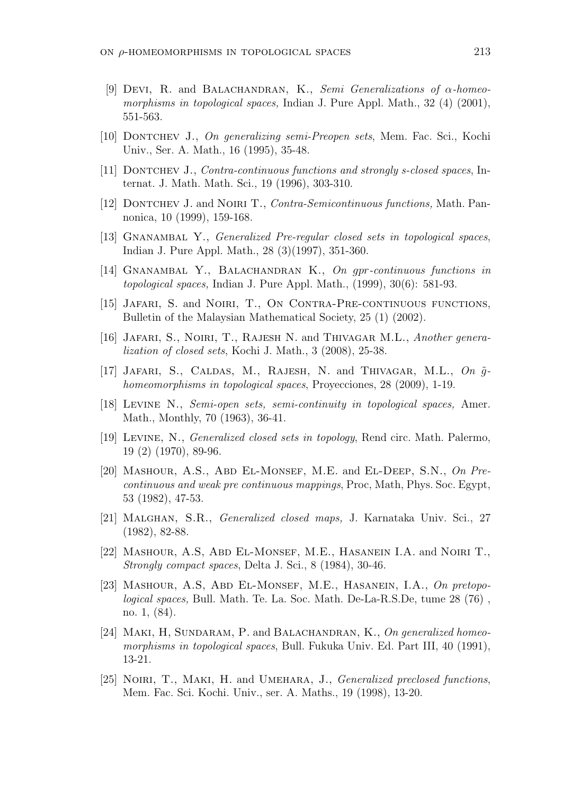- [9] Devi, R. and Balachandran, K., *Semi Generalizations of α-homeomorphisms in topological spaces,* Indian J. Pure Appl. Math., 32 (4) (2001), 551-563.
- [10] Dontchev J., *On generalizing semi-Preopen sets*, Mem. Fac. Sci., Kochi Univ., Ser. A. Math., 16 (1995), 35-48.
- [11] Dontchev J., *Contra-continuous functions and strongly s-closed spaces*, Internat. J. Math. Math. Sci., 19 (1996), 303-310.
- [12] Dontchev J. and Noiri T., *Contra-Semicontinuous functions,* Math. Pannonica, 10 (1999), 159-168.
- [13] Gnanambal Y., *Generalized Pre-regular closed sets in topological spaces*, Indian J. Pure Appl. Math., 28 (3)(1997), 351-360.
- [14] Gnanambal Y., Balachandran K., *On gpr-continuous functions in topological spaces,* Indian J. Pure Appl. Math., (1999), 30(6): 581-93.
- [15] Jafari, S. and Noiri, T., On Contra-Pre-continuous functions, Bulletin of the Malaysian Mathematical Society, 25 (1) (2002).
- [16] Jafari, S., Noiri, T., Rajesh N. and Thivagar M.L., *Another generalization of closed sets*, Kochi J. Math., 3 (2008), 25-38.
- [17] JAFARI, S., CALDAS, M., RAJESH, N. and THIVAGAR, M.L.,  $On \tilde{g}$ *homeomorphisms in topological spaces*, Proyecciones, 28 (2009), 1-19.
- [18] Levine N., *Semi-open sets, semi-continuity in topological spaces,* Amer. Math., Monthly, 70 (1963), 36-41.
- [19] Levine, N., *Generalized closed sets in topology*, Rend circ. Math. Palermo, 19 (2) (1970), 89-96.
- [20] Mashour, A.S., Abd El-Monsef, M.E. and El-Deep, S.N., *On Precontinuous and weak pre continuous mappings*, Proc, Math, Phys. Soc. Egypt, 53 (1982), 47-53.
- [21] Malghan, S.R., *Generalized closed maps,* J. Karnataka Univ. Sci., 27 (1982), 82-88.
- [22] Mashour, A.S, Abd El-Monsef, M.E., Hasanein I.A. and Noiri T., *Strongly compact spaces*, Delta J. Sci., 8 (1984), 30-46.
- [23] Mashour, A.S, Abd El-Monsef, M.E., Hasanein, I.A., *On pretopological spaces,* Bull. Math. Te. La. Soc. Math. De-La-R.S.De, tume 28 (76) , no. 1, (84).
- [24] Maki, H, Sundaram, P. and Balachandran, K., *On generalized homeomorphisms in topological spaces*, Bull. Fukuka Univ. Ed. Part III, 40 (1991), 13-21.
- [25] Noiri, T., Maki, H. and Umehara, J., *Generalized preclosed functions*, Mem. Fac. Sci. Kochi. Univ., ser. A. Maths., 19 (1998), 13-20.